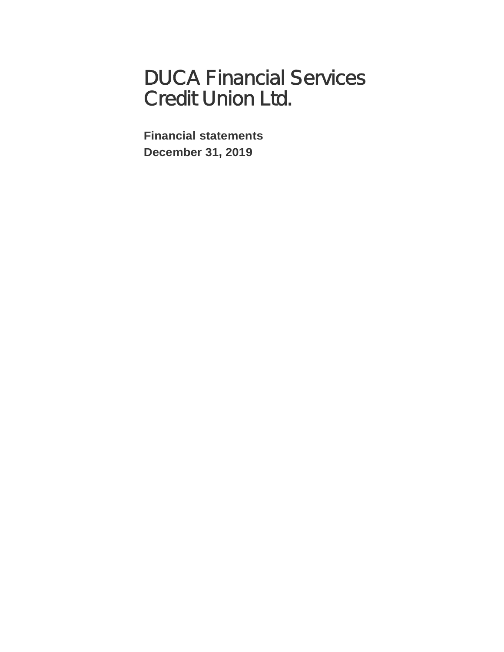**Financial statements December 31, 2019**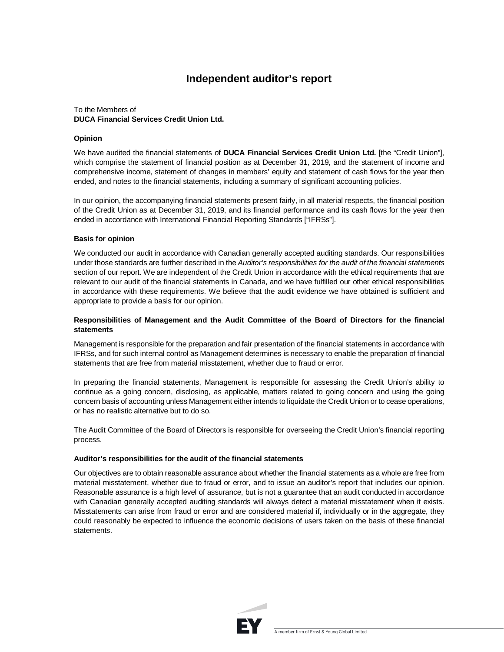## **Independent auditor's report**

### To the Members of **DUCA Financial Services Credit Union Ltd.**

### **Opinion**

We have audited the financial statements of **DUCA Financial Services Credit Union Ltd.** [the "Credit Union"], which comprise the statement of financial position as at December 31, 2019, and the statement of income and comprehensive income, statement of changes in members' equity and statement of cash flows for the year then ended, and notes to the financial statements, including a summary of significant accounting policies.

In our opinion, the accompanying financial statements present fairly, in all material respects, the financial position of the Credit Union as at December 31, 2019, and its financial performance and its cash flows for the year then ended in accordance with International Financial Reporting Standards ["IFRSs"].

### **Basis for opinion**

We conducted our audit in accordance with Canadian generally accepted auditing standards. Our responsibilities under those standards are further described in the *Auditor's responsibilities for the audit of the financial statements* section of our report. We are independent of the Credit Union in accordance with the ethical requirements that are relevant to our audit of the financial statements in Canada, and we have fulfilled our other ethical responsibilities in accordance with these requirements. We believe that the audit evidence we have obtained is sufficient and appropriate to provide a basis for our opinion.

### **Responsibilities of Management and the Audit Committee of the Board of Directors for the financial statements**

Management is responsible for the preparation and fair presentation of the financial statements in accordance with IFRSs, and for such internal control as Management determines is necessary to enable the preparation of financial statements that are free from material misstatement, whether due to fraud or error.

In preparing the financial statements, Management is responsible for assessing the Credit Union's ability to continue as a going concern, disclosing, as applicable, matters related to going concern and using the going concern basis of accounting unless Management either intends to liquidate the Credit Union or to cease operations, or has no realistic alternative but to do so.

The Audit Committee of the Board of Directors is responsible for overseeing the Credit Union's financial reporting process.

### **Auditor's responsibilities for the audit of the financial statements**

Our objectives are to obtain reasonable assurance about whether the financial statements as a whole are free from material misstatement, whether due to fraud or error, and to issue an auditor's report that includes our opinion. Reasonable assurance is a high level of assurance, but is not a guarantee that an audit conducted in accordance with Canadian generally accepted auditing standards will always detect a material misstatement when it exists. Misstatements can arise from fraud or error and are considered material if, individually or in the aggregate, they could reasonably be expected to influence the economic decisions of users taken on the basis of these financial statements.

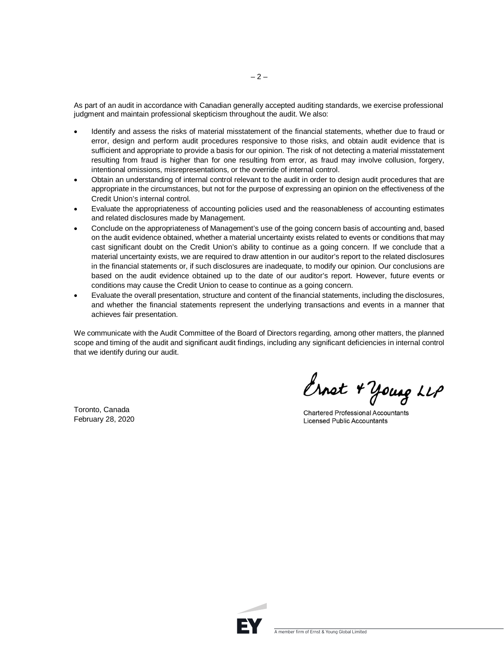As part of an audit in accordance with Canadian generally accepted auditing standards, we exercise professional judgment and maintain professional skepticism throughout the audit. We also:

- · Identify and assess the risks of material misstatement of the financial statements, whether due to fraud or error, design and perform audit procedures responsive to those risks, and obtain audit evidence that is sufficient and appropriate to provide a basis for our opinion. The risk of not detecting a material misstatement resulting from fraud is higher than for one resulting from error, as fraud may involve collusion, forgery, intentional omissions, misrepresentations, or the override of internal control.
- · Obtain an understanding of internal control relevant to the audit in order to design audit procedures that are appropriate in the circumstances, but not for the purpose of expressing an opinion on the effectiveness of the Credit Union's internal control.
- · Evaluate the appropriateness of accounting policies used and the reasonableness of accounting estimates and related disclosures made by Management.
- · Conclude on the appropriateness of Management's use of the going concern basis of accounting and, based on the audit evidence obtained, whether a material uncertainty exists related to events or conditions that may cast significant doubt on the Credit Union's ability to continue as a going concern. If we conclude that a material uncertainty exists, we are required to draw attention in our auditor's report to the related disclosures in the financial statements or, if such disclosures are inadequate, to modify our opinion. Our conclusions are based on the audit evidence obtained up to the date of our auditor's report. However, future events or conditions may cause the Credit Union to cease to continue as a going concern.
- · Evaluate the overall presentation, structure and content of the financial statements, including the disclosures, and whether the financial statements represent the underlying transactions and events in a manner that achieves fair presentation.

We communicate with the Audit Committee of the Board of Directors regarding, among other matters, the planned scope and timing of the audit and significant audit findings, including any significant deficiencies in internal control that we identify during our audit.

Toronto, Canada February 28, 2020

Ernst + Young LLP

**Chartered Professional Accountants Licensed Public Accountants** 

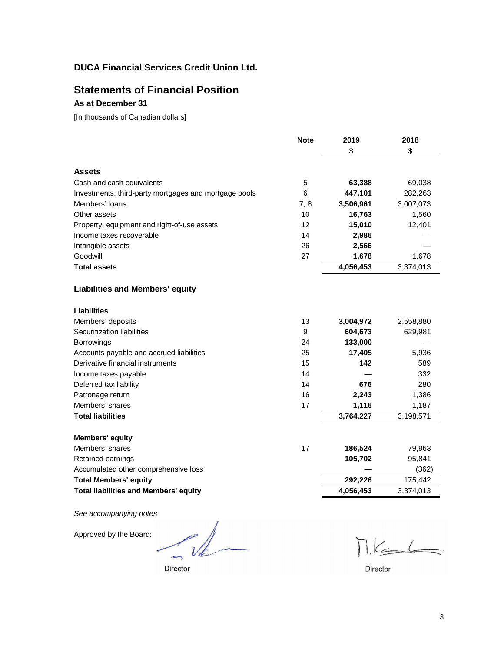## **Statements of Financial Position**

**As at December 31**

[In thousands of Canadian dollars]

|                                                       | <b>Note</b> | 2019      | 2018      |
|-------------------------------------------------------|-------------|-----------|-----------|
|                                                       |             | \$        | \$        |
| <b>Assets</b>                                         |             |           |           |
| Cash and cash equivalents                             | 5           | 63,388    | 69,038    |
| Investments, third-party mortgages and mortgage pools | 6           | 447,101   | 282,263   |
| Members' loans                                        | 7, 8        | 3,506,961 | 3,007,073 |
| Other assets                                          | 10          | 16,763    | 1,560     |
| Property, equipment and right-of-use assets           | 12          | 15,010    | 12,401    |
| Income taxes recoverable                              | 14          | 2,986     |           |
| Intangible assets                                     | 26          | 2,566     |           |
| Goodwill                                              | 27          | 1,678     | 1,678     |
| <b>Total assets</b>                                   |             | 4,056,453 | 3,374,013 |
| <b>Liabilities and Members' equity</b>                |             |           |           |
| <b>Liabilities</b>                                    |             |           |           |
| Members' deposits                                     | 13          | 3,004,972 | 2,558,880 |
| Securitization liabilities                            | 9           | 604,673   | 629,981   |
| <b>Borrowings</b>                                     | 24          | 133,000   |           |
| Accounts payable and accrued liabilities              | 25          | 17,405    | 5,936     |
| Derivative financial instruments                      | 15          | 142       | 589       |
| Income taxes payable                                  | 14          |           | 332       |
| Deferred tax liability                                | 14          | 676       | 280       |
| Patronage return                                      | 16          | 2,243     | 1,386     |
| Members' shares                                       | 17          | 1,116     | 1,187     |
| <b>Total liabilities</b>                              |             | 3,764,227 | 3,198,571 |
| <b>Members' equity</b>                                |             |           |           |
| Members' shares                                       | 17          | 186,524   | 79,963    |
| Retained earnings                                     |             | 105,702   | 95,841    |
| Accumulated other comprehensive loss                  |             |           | (362)     |
| <b>Total Members' equity</b>                          |             | 292,226   | 175,442   |
| <b>Total liabilities and Members' equity</b>          |             | 4,056,453 | 3,374,013 |
|                                                       |             |           |           |

*See accompanying notes*

Approved by the Board:

VL  $\overline{\phantom{a}}$ 

 $M_{\odot}$ 

Director Director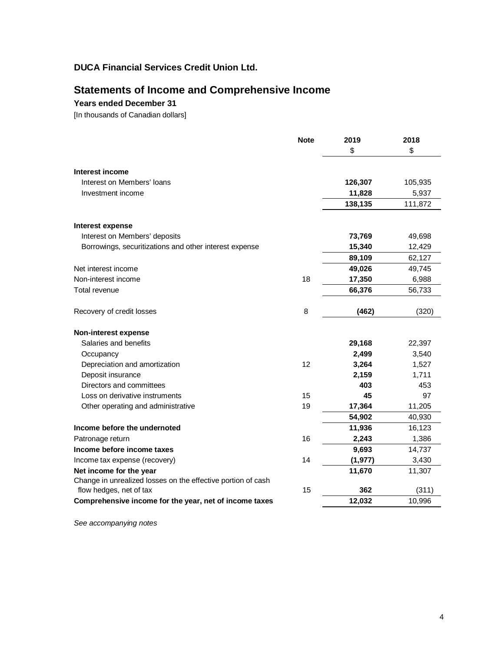## **Statements of Income and Comprehensive Income**

## **Years ended December 31**

[In thousands of Canadian dollars]

|                                                              | <b>Note</b> | 2019     | 2018    |
|--------------------------------------------------------------|-------------|----------|---------|
|                                                              |             | \$       | \$      |
| Interest income                                              |             |          |         |
| Interest on Members' loans                                   |             | 126,307  | 105,935 |
| Investment income                                            |             | 11,828   | 5,937   |
|                                                              |             | 138,135  | 111,872 |
| Interest expense                                             |             |          |         |
| Interest on Members' deposits                                |             | 73,769   | 49,698  |
| Borrowings, securitizations and other interest expense       |             | 15,340   | 12,429  |
|                                                              |             | 89,109   | 62,127  |
| Net interest income                                          |             | 49,026   | 49,745  |
| Non-interest income                                          | 18          | 17,350   | 6,988   |
| Total revenue                                                |             | 66,376   | 56,733  |
| Recovery of credit losses                                    | 8           | (462)    | (320)   |
| Non-interest expense                                         |             |          |         |
| Salaries and benefits                                        |             | 29,168   | 22,397  |
| Occupancy                                                    |             | 2,499    | 3,540   |
| Depreciation and amortization                                | 12          | 3,264    | 1,527   |
| Deposit insurance                                            |             | 2,159    | 1,711   |
| Directors and committees                                     |             | 403      | 453     |
| Loss on derivative instruments                               | 15          | 45       | 97      |
| Other operating and administrative                           | 19          | 17,364   | 11,205  |
|                                                              |             | 54,902   | 40,930  |
| Income before the undernoted                                 |             | 11,936   | 16,123  |
| Patronage return                                             | 16          | 2,243    | 1,386   |
| Income before income taxes                                   |             | 9,693    | 14,737  |
| Income tax expense (recovery)                                | 14          | (1, 977) | 3,430   |
| Net income for the year                                      |             | 11,670   | 11,307  |
| Change in unrealized losses on the effective portion of cash |             |          |         |
| flow hedges, net of tax                                      | 15          | 362      | (311)   |
| Comprehensive income for the year, net of income taxes       |             | 12,032   | 10,996  |

*See accompanying notes*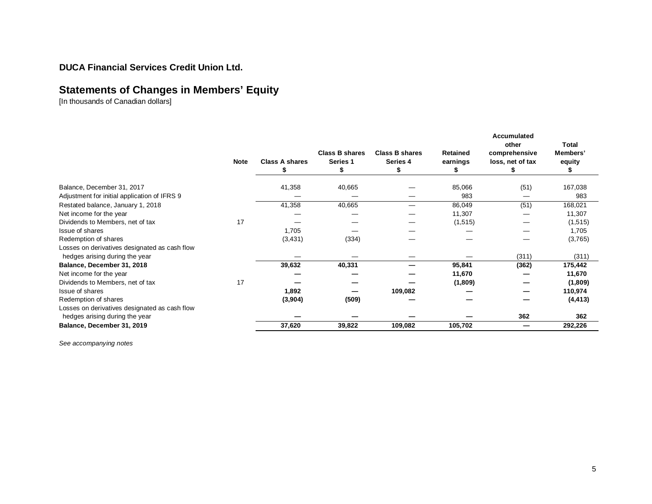## **Statements of Changes in Members' Equity**

[In thousands of Canadian dollars]

|                                                                                 | <b>Note</b> | <b>Class A shares</b> | <b>Class B shares</b><br>Series 1 | <b>Class B shares</b><br>Series 4 | Retained<br>earnings | <b>Accumulated</b><br>other<br>comprehensive<br>loss, net of tax | Total<br>Members'<br>equity |
|---------------------------------------------------------------------------------|-------------|-----------------------|-----------------------------------|-----------------------------------|----------------------|------------------------------------------------------------------|-----------------------------|
| Balance, December 31, 2017                                                      |             | 41,358                | 40,665                            |                                   | 85,066               | (51)                                                             | 167,038                     |
| Adjustment for initial application of IFRS 9                                    |             |                       |                                   |                                   | 983                  |                                                                  | 983                         |
| Restated balance, January 1, 2018                                               |             | 41,358                | 40,665                            |                                   | 86,049               | (51)                                                             | 168,021                     |
| Net income for the year                                                         |             |                       |                                   |                                   | 11,307               |                                                                  | 11,307                      |
| Dividends to Members, net of tax                                                | 17          |                       |                                   |                                   | (1,515)              |                                                                  | (1,515)                     |
| Issue of shares                                                                 |             | 1,705                 |                                   |                                   |                      |                                                                  | 1,705                       |
| Redemption of shares                                                            |             | (3,431)               | (334)                             |                                   |                      |                                                                  | (3,765)                     |
| Losses on derivatives designated as cash flow<br>hedges arising during the year |             |                       |                                   |                                   |                      | (311)                                                            | (311)                       |
| Balance, December 31, 2018                                                      |             | 39,632                | 40,331                            |                                   | 95,841               | (362)                                                            | 175,442                     |
| Net income for the year                                                         |             |                       |                                   |                                   | 11,670               |                                                                  | 11,670                      |
| Dividends to Members, net of tax                                                | 17          |                       |                                   |                                   | (1,809)              |                                                                  | (1,809)                     |
| Issue of shares                                                                 |             | 1,892                 |                                   | 109,082                           |                      |                                                                  | 110,974                     |
| Redemption of shares                                                            |             | (3,904)               | (509)                             |                                   |                      |                                                                  | (4, 413)                    |
| Losses on derivatives designated as cash flow<br>hedges arising during the year |             |                       |                                   |                                   |                      | 362                                                              | 362                         |
| Balance, December 31, 2019                                                      |             | 37,620                | 39,822                            | 109,082                           | 105,702              |                                                                  | 292,226                     |

*See accompanying notes*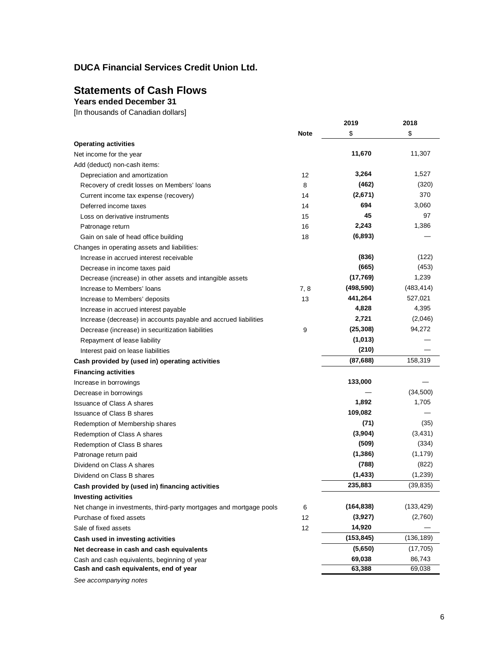## **Statements of Cash Flows**

**Years ended December 31**

[In thousands of Canadian dollars]

|                                                                     |             | 2019       | 2018       |
|---------------------------------------------------------------------|-------------|------------|------------|
|                                                                     | <b>Note</b> | \$         | \$         |
| <b>Operating activities</b>                                         |             |            |            |
| Net income for the year                                             |             | 11,670     | 11,307     |
| Add (deduct) non-cash items:                                        |             |            |            |
| Depreciation and amortization                                       | 12          | 3,264      | 1,527      |
| Recovery of credit losses on Members' loans                         | 8           | (462)      | (320)      |
| Current income tax expense (recovery)                               | 14          | (2,671)    | 370        |
| Deferred income taxes                                               | 14          | 694        | 3,060      |
| Loss on derivative instruments                                      | 15          | 45         | 97         |
| Patronage return                                                    | 16          | 2,243      | 1,386      |
| Gain on sale of head office building                                | 18          | (6, 893)   |            |
| Changes in operating assets and liabilities:                        |             |            |            |
| Increase in accrued interest receivable                             |             | (836)      | (122)      |
| Decrease in income taxes paid                                       |             | (665)      | (453)      |
| Decrease (increase) in other assets and intangible assets           |             | (17,769)   | 1,239      |
| Increase to Members' loans                                          | 7, 8        | (498, 590) | (483, 414) |
| Increase to Members' deposits                                       | 13          | 441,264    | 527,021    |
| Increase in accrued interest payable                                |             | 4,828      | 4,395      |
| Increase (decrease) in accounts payable and accrued liabilities     |             | 2,721      | (2,046)    |
| Decrease (increase) in securitization liabilities                   | 9           | (25, 308)  | 94,272     |
| Repayment of lease liability                                        |             | (1,013)    |            |
| Interest paid on lease liabilities                                  |             | (210)      |            |
| Cash provided by (used in) operating activities                     |             | (87, 688)  | 158,319    |
| <b>Financing activities</b>                                         |             |            |            |
| Increase in borrowings                                              |             | 133,000    |            |
| Decrease in borrowings                                              |             |            | (34, 500)  |
| <b>Issuance of Class A shares</b>                                   |             | 1,892      | 1,705      |
| <b>Issuance of Class B shares</b>                                   |             | 109,082    |            |
| Redemption of Membership shares                                     |             | (71)       | (35)       |
| Redemption of Class A shares                                        |             | (3,904)    | (3,431)    |
| Redemption of Class B shares                                        |             | (509)      | (334)      |
| Patronage return paid                                               |             | (1,386)    | (1, 179)   |
| Dividend on Class A shares                                          |             | (788)      | (822)      |
| Dividend on Class B shares                                          |             | (1, 433)   | (1,239)    |
| Cash provided by (used in) financing activities                     |             | 235,883    | (39, 835)  |
| <b>Investing activities</b>                                         |             |            |            |
| Net change in investments, third-party mortgages and mortgage pools | 6           | (164, 838) | (133, 429) |
| Purchase of fixed assets                                            | 12          | (3,927)    | (2,760)    |
| Sale of fixed assets                                                | 12          | 14,920     |            |
| Cash used in investing activities                                   |             | (153, 845) | (136,189)  |
| Net decrease in cash and cash equivalents                           |             | (5,650)    | (17,705)   |
| Cash and cash equivalents, beginning of year                        |             | 69,038     | 86,743     |
| Cash and cash equivalents, end of year                              |             | 63,388     | 69,038     |
| See accompanying notes                                              |             |            |            |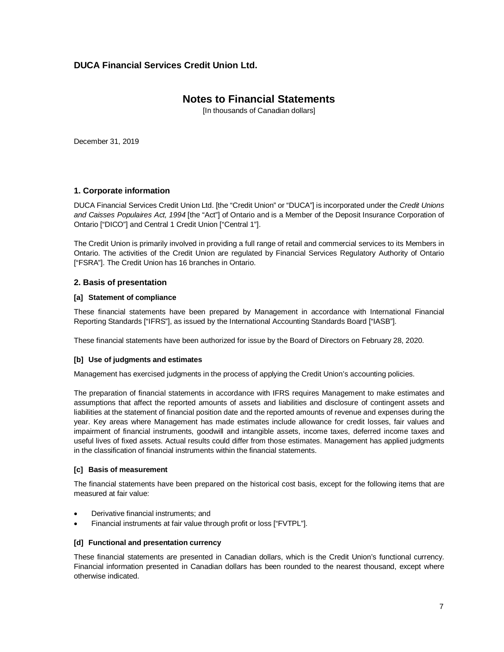## **Notes to Financial Statements**

[In thousands of Canadian dollars]

December 31, 2019

### **1. Corporate information**

DUCA Financial Services Credit Union Ltd. [the "Credit Union" or "DUCA"] is incorporated under the *Credit Unions and Caisses Populaires Act, 1994* [the "Act"] of Ontario and is a Member of the Deposit Insurance Corporation of Ontario ["DICO"] and Central 1 Credit Union ["Central 1"].

The Credit Union is primarily involved in providing a full range of retail and commercial services to its Members in Ontario. The activities of the Credit Union are regulated by Financial Services Regulatory Authority of Ontario ["FSRA"]. The Credit Union has 16 branches in Ontario.

### **2. Basis of presentation**

### **[a] Statement of compliance**

These financial statements have been prepared by Management in accordance with International Financial Reporting Standards ["IFRS"], as issued by the International Accounting Standards Board ["IASB"].

These financial statements have been authorized for issue by the Board of Directors on February 28, 2020.

### **[b] Use of judgments and estimates**

Management has exercised judgments in the process of applying the Credit Union's accounting policies.

The preparation of financial statements in accordance with IFRS requires Management to make estimates and assumptions that affect the reported amounts of assets and liabilities and disclosure of contingent assets and liabilities at the statement of financial position date and the reported amounts of revenue and expenses during the year. Key areas where Management has made estimates include allowance for credit losses, fair values and impairment of financial instruments, goodwill and intangible assets, income taxes, deferred income taxes and useful lives of fixed assets. Actual results could differ from those estimates. Management has applied judgments in the classification of financial instruments within the financial statements.

### **[c] Basis of measurement**

The financial statements have been prepared on the historical cost basis, except for the following items that are measured at fair value:

- Derivative financial instruments; and
- Financial instruments at fair value through profit or loss ["FVTPL"].

### **[d] Functional and presentation currency**

These financial statements are presented in Canadian dollars, which is the Credit Union's functional currency. Financial information presented in Canadian dollars has been rounded to the nearest thousand, except where otherwise indicated.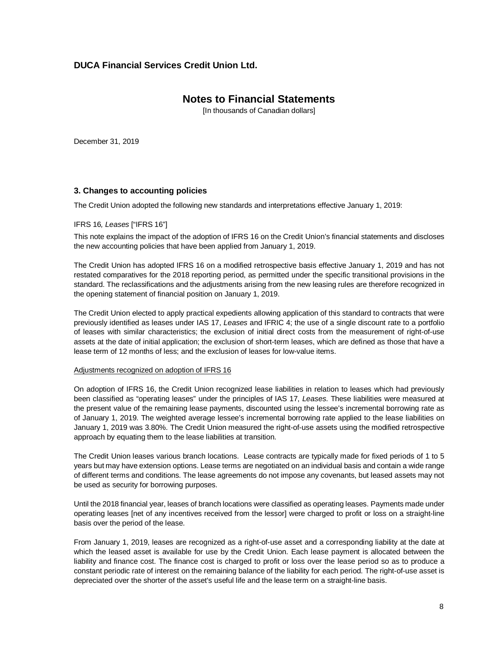## **Notes to Financial Statements**

[In thousands of Canadian dollars]

December 31, 2019

### **3. Changes to accounting policies**

The Credit Union adopted the following new standards and interpretations effective January 1, 2019:

### IFRS 16*, Leases* ["IFRS 16"]

This note explains the impact of the adoption of IFRS 16 on the Credit Union's financial statements and discloses the new accounting policies that have been applied from January 1, 2019.

The Credit Union has adopted IFRS 16 on a modified retrospective basis effective January 1, 2019 and has not restated comparatives for the 2018 reporting period, as permitted under the specific transitional provisions in the standard. The reclassifications and the adjustments arising from the new leasing rules are therefore recognized in the opening statement of financial position on January 1, 2019.

The Credit Union elected to apply practical expedients allowing application of this standard to contracts that were previously identified as leases under IAS 17, *Leases* and IFRIC 4; the use of a single discount rate to a portfolio of leases with similar characteristics; the exclusion of initial direct costs from the measurement of right-of-use assets at the date of initial application; the exclusion of short-term leases, which are defined as those that have a lease term of 12 months of less; and the exclusion of leases for low-value items.

### Adjustments recognized on adoption of IFRS 16

On adoption of IFRS 16, the Credit Union recognized lease liabilities in relation to leases which had previously been classified as "operating leases" under the principles of IAS 17, *Leases*. These liabilities were measured at the present value of the remaining lease payments, discounted using the lessee's incremental borrowing rate as of January 1, 2019. The weighted average lessee's incremental borrowing rate applied to the lease liabilities on January 1, 2019 was 3.80%. The Credit Union measured the right-of-use assets using the modified retrospective approach by equating them to the lease liabilities at transition.

The Credit Union leases various branch locations. Lease contracts are typically made for fixed periods of 1 to 5 years but may have extension options. Lease terms are negotiated on an individual basis and contain a wide range of different terms and conditions. The lease agreements do not impose any covenants, but leased assets may not be used as security for borrowing purposes.

Until the 2018 financial year, leases of branch locations were classified as operating leases. Payments made under operating leases [net of any incentives received from the lessor] were charged to profit or loss on a straight-line basis over the period of the lease.

From January 1, 2019, leases are recognized as a right-of-use asset and a corresponding liability at the date at which the leased asset is available for use by the Credit Union. Each lease payment is allocated between the liability and finance cost. The finance cost is charged to profit or loss over the lease period so as to produce a constant periodic rate of interest on the remaining balance of the liability for each period. The right-of-use asset is depreciated over the shorter of the asset's useful life and the lease term on a straight-line basis.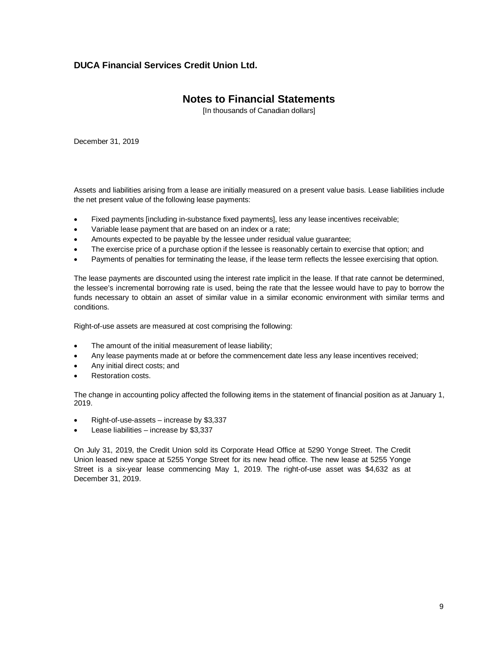## **Notes to Financial Statements**

[In thousands of Canadian dollars]

December 31, 2019

Assets and liabilities arising from a lease are initially measured on a present value basis. Lease liabilities include the net present value of the following lease payments:

- · Fixed payments [including in-substance fixed payments], less any lease incentives receivable;
- · Variable lease payment that are based on an index or a rate;
- · Amounts expected to be payable by the lessee under residual value guarantee;
- The exercise price of a purchase option if the lessee is reasonably certain to exercise that option; and
- Payments of penalties for terminating the lease, if the lease term reflects the lessee exercising that option.

The lease payments are discounted using the interest rate implicit in the lease. If that rate cannot be determined, the lessee's incremental borrowing rate is used, being the rate that the lessee would have to pay to borrow the funds necessary to obtain an asset of similar value in a similar economic environment with similar terms and conditions.

Right-of-use assets are measured at cost comprising the following:

- · The amount of the initial measurement of lease liability;
- · Any lease payments made at or before the commencement date less any lease incentives received;
- · Any initial direct costs; and
- Restoration costs.

The change in accounting policy affected the following items in the statement of financial position as at January 1, 2019.

- $Right-of-use-assets increase by $3,337$
- Lease liabilities  $-$  increase by \$3,337

On July 31, 2019, the Credit Union sold its Corporate Head Office at 5290 Yonge Street. The Credit Union leased new space at 5255 Yonge Street for its new head office. The new lease at 5255 Yonge Street is a six-year lease commencing May 1, 2019. The right-of-use asset was \$4,632 as at December 31, 2019.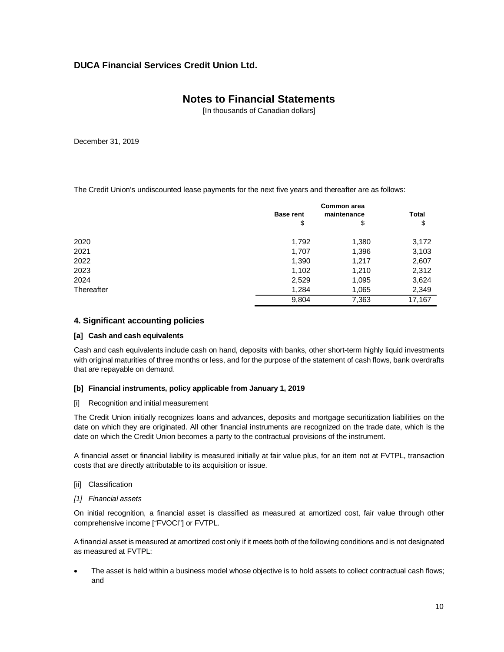## **Notes to Financial Statements**

[In thousands of Canadian dollars]

December 31, 2019

The Credit Union's undiscounted lease payments for the next five years and thereafter are as follows:

|            |                  | Common area |              |  |  |
|------------|------------------|-------------|--------------|--|--|
|            | <b>Base rent</b> | maintenance | <b>Total</b> |  |  |
|            | \$               | S           | \$           |  |  |
| 2020       | 1,792            | 1,380       | 3,172        |  |  |
| 2021       | 1,707            | 1,396       | 3,103        |  |  |
| 2022       | 1,390            | 1,217       | 2,607        |  |  |
| 2023       | 1,102            | 1,210       | 2,312        |  |  |
| 2024       | 2,529            | 1,095       | 3,624        |  |  |
| Thereafter | 1,284            | 1,065       | 2,349        |  |  |
|            | 9,804            | 7,363       | 17,167       |  |  |

### **4. Significant accounting policies**

### **[a] Cash and cash equivalents**

Cash and cash equivalents include cash on hand, deposits with banks, other short-term highly liquid investments with original maturities of three months or less, and for the purpose of the statement of cash flows, bank overdrafts that are repayable on demand.

### **[b] Financial instruments, policy applicable from January 1, 2019**

[i] Recognition and initial measurement

The Credit Union initially recognizes loans and advances, deposits and mortgage securitization liabilities on the date on which they are originated. All other financial instruments are recognized on the trade date, which is the date on which the Credit Union becomes a party to the contractual provisions of the instrument.

A financial asset or financial liability is measured initially at fair value plus, for an item not at FVTPL, transaction costs that are directly attributable to its acquisition or issue.

### [ii] Classification

*[1] Financial assets*

On initial recognition, a financial asset is classified as measured at amortized cost, fair value through other comprehensive income ["FVOCI"] or FVTPL.

A financial asset is measured at amortized cost only if it meets both of the following conditions and is not designated as measured at FVTPL:

The asset is held within a business model whose objective is to hold assets to collect contractual cash flows; and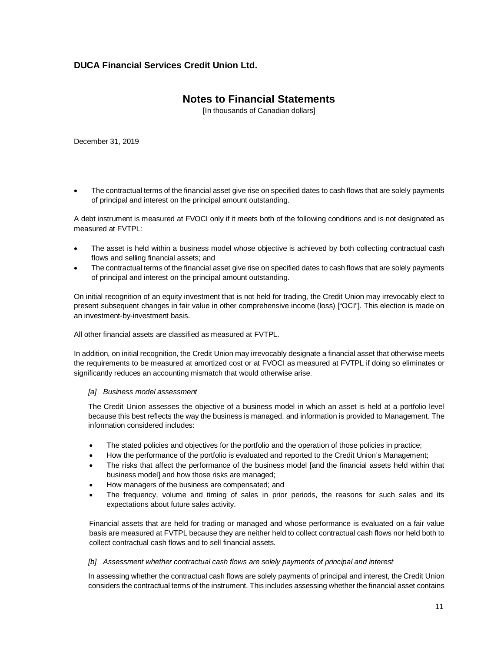## **Notes to Financial Statements**

[In thousands of Canadian dollars]

December 31, 2019

The contractual terms of the financial asset give rise on specified dates to cash flows that are solely payments of principal and interest on the principal amount outstanding.

A debt instrument is measured at FVOCI only if it meets both of the following conditions and is not designated as measured at FVTPL:

- · The asset is held within a business model whose objective is achieved by both collecting contractual cash flows and selling financial assets; and
- The contractual terms of the financial asset give rise on specified dates to cash flows that are solely payments of principal and interest on the principal amount outstanding.

On initial recognition of an equity investment that is not held for trading, the Credit Union may irrevocably elect to present subsequent changes in fair value in other comprehensive income (loss) ["OCI"]. This election is made on an investment-by-investment basis.

All other financial assets are classified as measured at FVTPL.

In addition, on initial recognition, the Credit Union may irrevocably designate a financial asset that otherwise meets the requirements to be measured at amortized cost or at FVOCI as measured at FVTPL if doing so eliminates or significantly reduces an accounting mismatch that would otherwise arise.

### *[a] Business model assessment*

The Credit Union assesses the objective of a business model in which an asset is held at a portfolio level because this best reflects the way the business is managed, and information is provided to Management. The information considered includes:

- · The stated policies and objectives for the portfolio and the operation of those policies in practice;
- · How the performance of the portfolio is evaluated and reported to the Credit Union's Management;
- The risks that affect the performance of the business model [and the financial assets held within that business model] and how those risks are managed;
- How managers of the business are compensated; and
- The frequency, volume and timing of sales in prior periods, the reasons for such sales and its expectations about future sales activity.

Financial assets that are held for trading or managed and whose performance is evaluated on a fair value basis are measured at FVTPL because they are neither held to collect contractual cash flows nor held both to collect contractual cash flows and to sell financial assets.

### *[b] Assessment whether contractual cash flows are solely payments of principal and interest*

In assessing whether the contractual cash flows are solely payments of principal and interest, the Credit Union considers the contractual terms of the instrument. This includes assessing whether the financial asset contains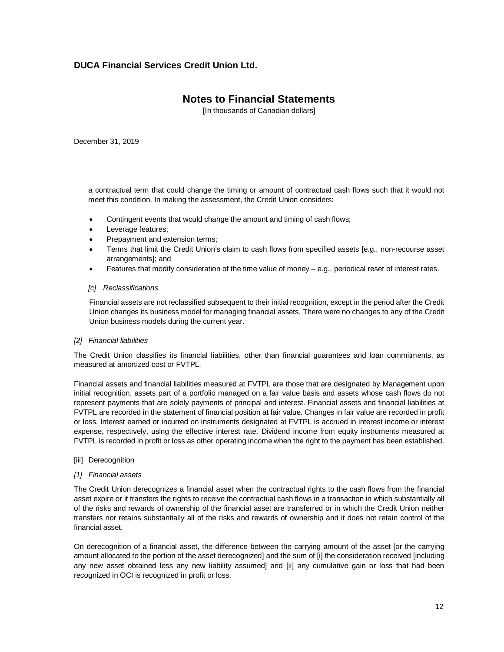## **Notes to Financial Statements**

[In thousands of Canadian dollars]

December 31, 2019

a contractual term that could change the timing or amount of contractual cash flows such that it would not meet this condition. In making the assessment, the Credit Union considers:

- Contingent events that would change the amount and timing of cash flows;
- Leverage features;
- Prepayment and extension terms;
- Terms that limit the Credit Union's claim to cash flows from specified assets [e.g., non-recourse asset arrangements]; and
- Features that modify consideration of the time value of money e.g., periodical reset of interest rates.

### *[c] Reclassifications*

Financial assets are not reclassified subsequent to their initial recognition, except in the period after the Credit Union changes its business model for managing financial assets. There were no changes to any of the Credit Union business models during the current year.

### *[2] Financial liabilities*

The Credit Union classifies its financial liabilities, other than financial guarantees and loan commitments, as measured at amortized cost or FVTPL.

Financial assets and financial liabilities measured at FVTPL are those that are designated by Management upon initial recognition, assets part of a portfolio managed on a fair value basis and assets whose cash flows do not represent payments that are solely payments of principal and interest. Financial assets and financial liabilities at FVTPL are recorded in the statement of financial position at fair value. Changes in fair value are recorded in profit or loss. Interest earned or incurred on instruments designated at FVTPL is accrued in interest income or interest expense, respectively, using the effective interest rate. Dividend income from equity instruments measured at FVTPL is recorded in profit or loss as other operating income when the right to the payment has been established.

- [iii] Derecognition
- *[1] Financial assets*

The Credit Union derecognizes a financial asset when the contractual rights to the cash flows from the financial asset expire or it transfers the rights to receive the contractual cash flows in a transaction in which substantially all of the risks and rewards of ownership of the financial asset are transferred or in which the Credit Union neither transfers nor retains substantially all of the risks and rewards of ownership and it does not retain control of the financial asset.

On derecognition of a financial asset, the difference between the carrying amount of the asset [or the carrying amount allocated to the portion of the asset derecognized] and the sum of [i] the consideration received [including any new asset obtained less any new liability assumed] and [ii] any cumulative gain or loss that had been recognized in OCI is recognized in profit or loss.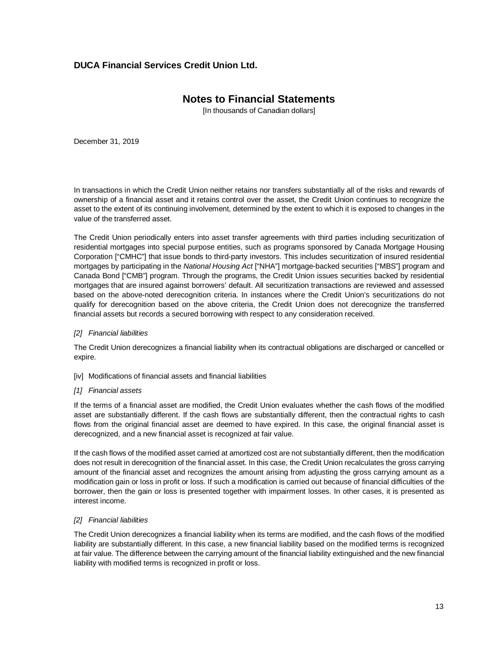## **Notes to Financial Statements**

[In thousands of Canadian dollars]

December 31, 2019

In transactions in which the Credit Union neither retains nor transfers substantially all of the risks and rewards of ownership of a financial asset and it retains control over the asset, the Credit Union continues to recognize the asset to the extent of its continuing involvement, determined by the extent to which it is exposed to changes in the value of the transferred asset.

The Credit Union periodically enters into asset transfer agreements with third parties including securitization of residential mortgages into special purpose entities, such as programs sponsored by Canada Mortgage Housing Corporation ["CMHC"] that issue bonds to third-party investors. This includes securitization of insured residential mortgages by participating in the *National Housing Act* ["NHA"] mortgage-backed securities ["MBS"] program and Canada Bond ["CMB"] program. Through the programs, the Credit Union issues securities backed by residential mortgages that are insured against borrowers' default. All securitization transactions are reviewed and assessed based on the above-noted derecognition criteria. In instances where the Credit Union's securitizations do not qualify for derecognition based on the above criteria, the Credit Union does not derecognize the transferred financial assets but records a secured borrowing with respect to any consideration received.

### *[2] Financial liabilities*

The Credit Union derecognizes a financial liability when its contractual obligations are discharged or cancelled or expire.

- [iv] Modifications of financial assets and financial liabilities
- *[1] Financial assets*

If the terms of a financial asset are modified, the Credit Union evaluates whether the cash flows of the modified asset are substantially different. If the cash flows are substantially different, then the contractual rights to cash flows from the original financial asset are deemed to have expired. In this case, the original financial asset is derecognized, and a new financial asset is recognized at fair value.

If the cash flows of the modified asset carried at amortized cost are not substantially different, then the modification does not result in derecognition of the financial asset. In this case, the Credit Union recalculates the gross carrying amount of the financial asset and recognizes the amount arising from adjusting the gross carrying amount as a modification gain or loss in profit or loss. If such a modification is carried out because of financial difficulties of the borrower, then the gain or loss is presented together with impairment losses. In other cases, it is presented as interest income.

### *[2] Financial liabilities*

The Credit Union derecognizes a financial liability when its terms are modified, and the cash flows of the modified liability are substantially different. In this case, a new financial liability based on the modified terms is recognized at fair value. The difference between the carrying amount of the financial liability extinguished and the new financial liability with modified terms is recognized in profit or loss.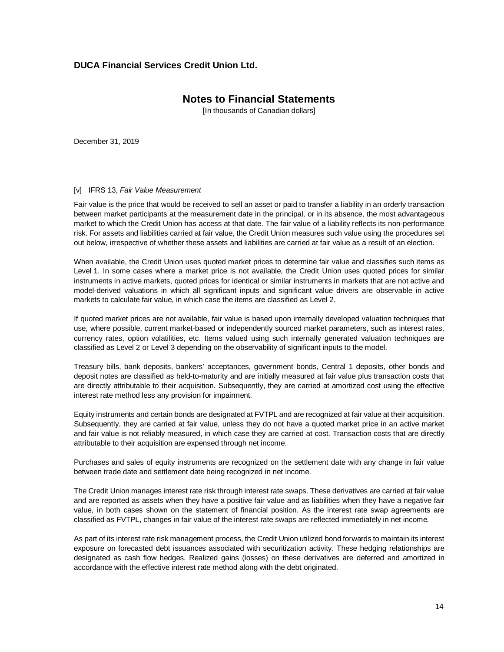## **Notes to Financial Statements**

[In thousands of Canadian dollars]

December 31, 2019

### [v] IFRS 13, *Fair Value Measurement*

Fair value is the price that would be received to sell an asset or paid to transfer a liability in an orderly transaction between market participants at the measurement date in the principal, or in its absence, the most advantageous market to which the Credit Union has access at that date. The fair value of a liability reflects its non-performance risk. For assets and liabilities carried at fair value, the Credit Union measures such value using the procedures set out below, irrespective of whether these assets and liabilities are carried at fair value as a result of an election.

When available, the Credit Union uses quoted market prices to determine fair value and classifies such items as Level 1. In some cases where a market price is not available, the Credit Union uses quoted prices for similar instruments in active markets, quoted prices for identical or similar instruments in markets that are not active and model-derived valuations in which all significant inputs and significant value drivers are observable in active markets to calculate fair value, in which case the items are classified as Level 2.

If quoted market prices are not available, fair value is based upon internally developed valuation techniques that use, where possible, current market-based or independently sourced market parameters, such as interest rates, currency rates, option volatilities, etc. Items valued using such internally generated valuation techniques are classified as Level 2 or Level 3 depending on the observability of significant inputs to the model.

Treasury bills, bank deposits, bankers' acceptances, government bonds, Central 1 deposits, other bonds and deposit notes are classified as held-to-maturity and are initially measured at fair value plus transaction costs that are directly attributable to their acquisition. Subsequently, they are carried at amortized cost using the effective interest rate method less any provision for impairment.

Equity instruments and certain bonds are designated at FVTPL and are recognized at fair value at their acquisition. Subsequently, they are carried at fair value, unless they do not have a quoted market price in an active market and fair value is not reliably measured, in which case they are carried at cost. Transaction costs that are directly attributable to their acquisition are expensed through net income.

Purchases and sales of equity instruments are recognized on the settlement date with any change in fair value between trade date and settlement date being recognized in net income.

The Credit Union manages interest rate risk through interest rate swaps. These derivatives are carried at fair value and are reported as assets when they have a positive fair value and as liabilities when they have a negative fair value, in both cases shown on the statement of financial position. As the interest rate swap agreements are classified as FVTPL, changes in fair value of the interest rate swaps are reflected immediately in net income.

As part of its interest rate risk management process, the Credit Union utilized bond forwards to maintain its interest exposure on forecasted debt issuances associated with securitization activity. These hedging relationships are designated as cash flow hedges. Realized gains (losses) on these derivatives are deferred and amortized in accordance with the effective interest rate method along with the debt originated.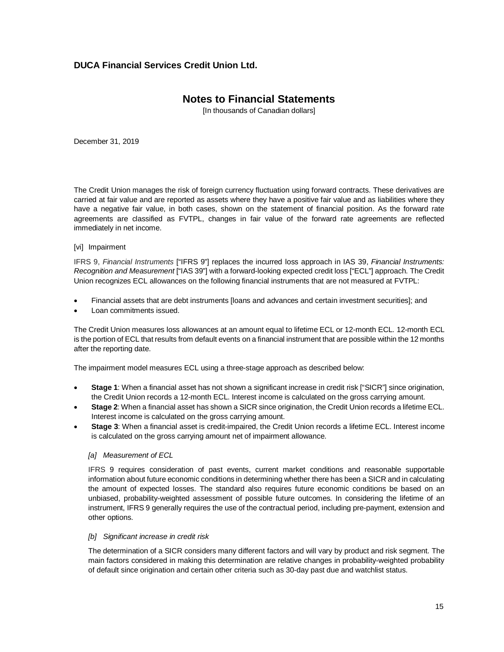## **Notes to Financial Statements**

[In thousands of Canadian dollars]

December 31, 2019

The Credit Union manages the risk of foreign currency fluctuation using forward contracts. These derivatives are carried at fair value and are reported as assets where they have a positive fair value and as liabilities where they have a negative fair value, in both cases, shown on the statement of financial position. As the forward rate agreements are classified as FVTPL, changes in fair value of the forward rate agreements are reflected immediately in net income.

### [vi] Impairment

IFRS 9, *Financial Instruments* ["IFRS 9"] replaces the incurred loss approach in IAS 39, *Financial Instruments: Recognition and Measurement* ["IAS 39"] with a forward-looking expected credit loss ["ECL"] approach. The Credit Union recognizes ECL allowances on the following financial instruments that are not measured at FVTPL:

- Financial assets that are debt instruments [loans and advances and certain investment securities]; and
- Loan commitments issued.

The Credit Union measures loss allowances at an amount equal to lifetime ECL or 12-month ECL. 12-month ECL is the portion of ECL that results from default events on a financial instrument that are possible within the 12 months after the reporting date.

The impairment model measures ECL using a three-stage approach as described below:

- · **Stage 1**: When a financial asset has not shown a significant increase in credit risk ["SICR"] since origination, the Credit Union records a 12-month ECL. Interest income is calculated on the gross carrying amount.
- · **Stage 2**: When a financial asset has shown a SICR since origination, the Credit Union records a lifetime ECL. Interest income is calculated on the gross carrying amount.
- **Stage 3:** When a financial asset is credit-impaired, the Credit Union records a lifetime ECL. Interest income is calculated on the gross carrying amount net of impairment allowance.

### *[a] Measurement of ECL*

IFRS 9 requires consideration of past events, current market conditions and reasonable supportable information about future economic conditions in determining whether there has been a SICR and in calculating the amount of expected losses. The standard also requires future economic conditions be based on an unbiased, probability-weighted assessment of possible future outcomes. In considering the lifetime of an instrument, IFRS 9 generally requires the use of the contractual period, including pre-payment, extension and other options.

### *[b] Significant increase in credit risk*

The determination of a SICR considers many different factors and will vary by product and risk segment. The main factors considered in making this determination are relative changes in probability-weighted probability of default since origination and certain other criteria such as 30-day past due and watchlist status.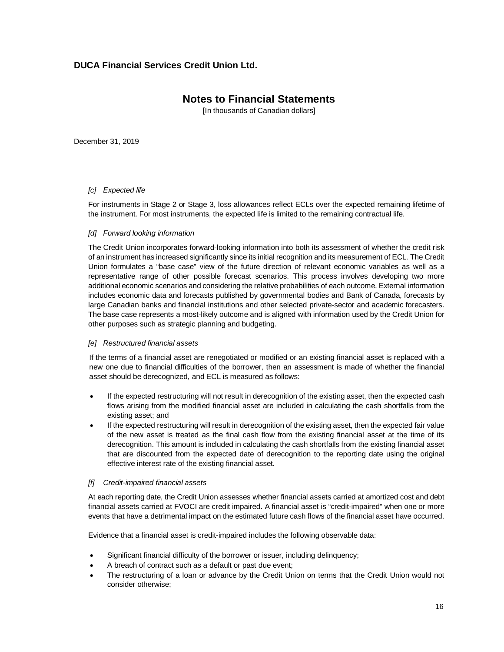## **Notes to Financial Statements**

[In thousands of Canadian dollars]

December 31, 2019

### *[c] Expected life*

For instruments in Stage 2 or Stage 3, loss allowances reflect ECLs over the expected remaining lifetime of the instrument. For most instruments, the expected life is limited to the remaining contractual life.

### *[d] Forward looking information*

The Credit Union incorporates forward-looking information into both its assessment of whether the credit risk of an instrument has increased significantly since its initial recognition and its measurement of ECL. The Credit Union formulates a "base case" view of the future direction of relevant economic variables as well as a representative range of other possible forecast scenarios. This process involves developing two more additional economic scenarios and considering the relative probabilities of each outcome. External information includes economic data and forecasts published by governmental bodies and Bank of Canada, forecasts by large Canadian banks and financial institutions and other selected private-sector and academic forecasters. The base case represents a most-likely outcome and is aligned with information used by the Credit Union for other purposes such as strategic planning and budgeting.

### *[e] Restructured financial assets*

If the terms of a financial asset are renegotiated or modified or an existing financial asset is replaced with a new one due to financial difficulties of the borrower, then an assessment is made of whether the financial asset should be derecognized, and ECL is measured as follows:

- · If the expected restructuring will not result in derecognition of the existing asset, then the expected cash flows arising from the modified financial asset are included in calculating the cash shortfalls from the existing asset; and
- If the expected restructuring will result in derecognition of the existing asset, then the expected fair value of the new asset is treated as the final cash flow from the existing financial asset at the time of its derecognition. This amount is included in calculating the cash shortfalls from the existing financial asset that are discounted from the expected date of derecognition to the reporting date using the original effective interest rate of the existing financial asset.

### *[f] Credit-impaired financial assets*

At each reporting date, the Credit Union assesses whether financial assets carried at amortized cost and debt financial assets carried at FVOCI are credit impaired. A financial asset is "credit-impaired" when one or more events that have a detrimental impact on the estimated future cash flows of the financial asset have occurred.

Evidence that a financial asset is credit-impaired includes the following observable data:

- · Significant financial difficulty of the borrower or issuer, including delinquency;
- A breach of contract such as a default or past due event;
- The restructuring of a loan or advance by the Credit Union on terms that the Credit Union would not consider otherwise;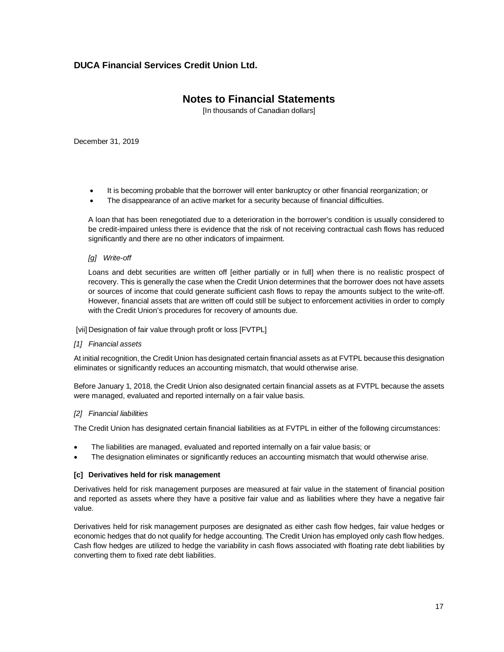## **Notes to Financial Statements**

[In thousands of Canadian dollars]

December 31, 2019

- It is becoming probable that the borrower will enter bankruptcy or other financial reorganization; or
- · The disappearance of an active market for a security because of financial difficulties.

A loan that has been renegotiated due to a deterioration in the borrower's condition is usually considered to be credit-impaired unless there is evidence that the risk of not receiving contractual cash flows has reduced significantly and there are no other indicators of impairment.

### *[g] Write-off*

Loans and debt securities are written off [either partially or in full] when there is no realistic prospect of recovery. This is generally the case when the Credit Union determines that the borrower does not have assets or sources of income that could generate sufficient cash flows to repay the amounts subject to the write-off. However, financial assets that are written off could still be subject to enforcement activities in order to comply with the Credit Union's procedures for recovery of amounts due.

### [vii] Designation of fair value through profit or loss [FVTPL]

### *[1] Financial assets*

At initial recognition, the Credit Union has designated certain financial assets as at FVTPL because this designation eliminates or significantly reduces an accounting mismatch, that would otherwise arise.

Before January 1, 2018, the Credit Union also designated certain financial assets as at FVTPL because the assets were managed, evaluated and reported internally on a fair value basis.

### *[2] Financial liabilities*

The Credit Union has designated certain financial liabilities as at FVTPL in either of the following circumstances:

- The liabilities are managed, evaluated and reported internally on a fair value basis; or
- The designation eliminates or significantly reduces an accounting mismatch that would otherwise arise.

### **[c] Derivatives held for risk management**

Derivatives held for risk management purposes are measured at fair value in the statement of financial position and reported as assets where they have a positive fair value and as liabilities where they have a negative fair value.

Derivatives held for risk management purposes are designated as either cash flow hedges, fair value hedges or economic hedges that do not qualify for hedge accounting. The Credit Union has employed only cash flow hedges. Cash flow hedges are utilized to hedge the variability in cash flows associated with floating rate debt liabilities by converting them to fixed rate debt liabilities.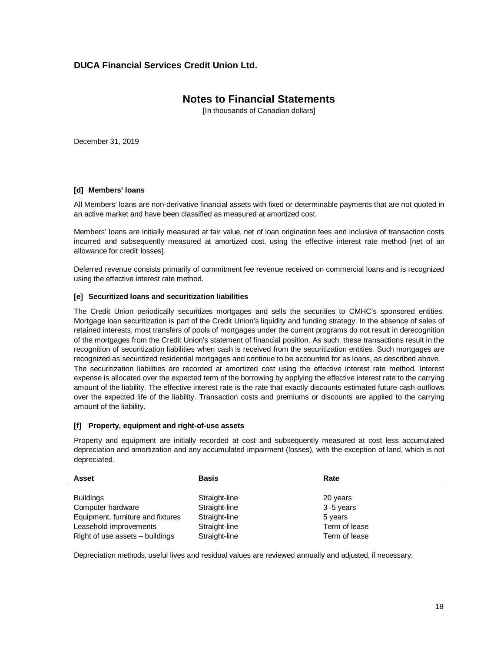## **Notes to Financial Statements**

[In thousands of Canadian dollars]

December 31, 2019

### **[d] Members' loans**

All Members' loans are non-derivative financial assets with fixed or determinable payments that are not quoted in an active market and have been classified as measured at amortized cost.

Members' loans are initially measured at fair value, net of loan origination fees and inclusive of transaction costs incurred and subsequently measured at amortized cost, using the effective interest rate method [net of an allowance for credit losses].

Deferred revenue consists primarily of commitment fee revenue received on commercial loans and is recognized using the effective interest rate method.

### **[e] Securitized loans and securitization liabilities**

The Credit Union periodically securitizes mortgages and sells the securities to CMHC's sponsored entities. Mortgage loan securitization is part of the Credit Union's liquidity and funding strategy. In the absence of sales of retained interests, most transfers of pools of mortgages under the current programs do not result in derecognition of the mortgages from the Credit Union's statement of financial position. As such, these transactions result in the recognition of securitization liabilities when cash is received from the securitization entities. Such mortgages are recognized as securitized residential mortgages and continue to be accounted for as loans, as described above. The securitization liabilities are recorded at amortized cost using the effective interest rate method. Interest expense is allocated over the expected term of the borrowing by applying the effective interest rate to the carrying amount of the liability. The effective interest rate is the rate that exactly discounts estimated future cash outflows over the expected life of the liability. Transaction costs and premiums or discounts are applied to the carrying amount of the liability.

### **[f] Property, equipment and right-of-use assets**

Property and equipment are initially recorded at cost and subsequently measured at cost less accumulated depreciation and amortization and any accumulated impairment (losses), with the exception of land, which is not depreciated.

| <b>Asset</b>                      | <b>Basis</b>  | Rate          |
|-----------------------------------|---------------|---------------|
|                                   |               |               |
| <b>Buildings</b>                  | Straight-line | 20 years      |
| Computer hardware                 | Straight-line | $3-5$ years   |
| Equipment, furniture and fixtures | Straight-line | 5 years       |
| Leasehold improvements            | Straight-line | Term of lease |
| Right of use assets – buildings   | Straight-line | Term of lease |

Depreciation methods, useful lives and residual values are reviewed annually and adjusted, if necessary.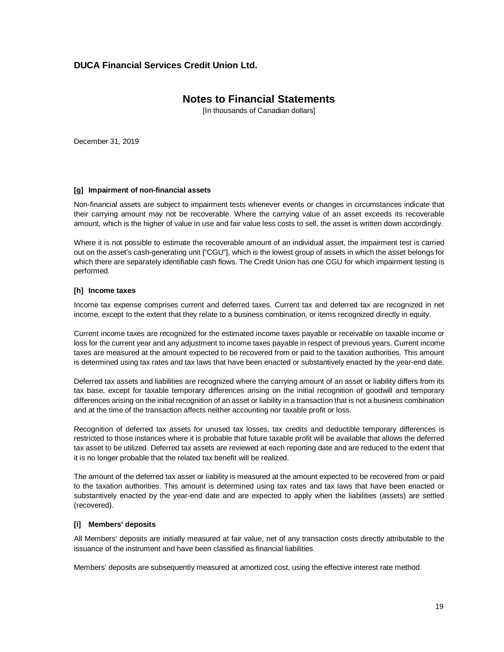## **Notes to Financial Statements**

[In thousands of Canadian dollars]

December 31, 2019

### **[g] Impairment of non-financial assets**

Non-financial assets are subject to impairment tests whenever events or changes in circumstances indicate that their carrying amount may not be recoverable. Where the carrying value of an asset exceeds its recoverable amount, which is the higher of value in use and fair value less costs to sell, the asset is written down accordingly.

Where it is not possible to estimate the recoverable amount of an individual asset, the impairment test is carried out on the asset's cash-generating unit ["CGU"], which is the lowest group of assets in which the asset belongs for which there are separately identifiable cash flows. The Credit Union has one CGU for which impairment testing is performed.

### **[h] Income taxes**

Income tax expense comprises current and deferred taxes. Current tax and deferred tax are recognized in net income, except to the extent that they relate to a business combination, or items recognized directly in equity.

Current income taxes are recognized for the estimated income taxes payable or receivable on taxable income or loss for the current year and any adjustment to income taxes payable in respect of previous years. Current income taxes are measured at the amount expected to be recovered from or paid to the taxation authorities. This amount is determined using tax rates and tax laws that have been enacted or substantively enacted by the year-end date.

Deferred tax assets and liabilities are recognized where the carrying amount of an asset or liability differs from its tax base, except for taxable temporary differences arising on the initial recognition of goodwill and temporary differences arising on the initial recognition of an asset or liability in a transaction that is not a business combination and at the time of the transaction affects neither accounting nor taxable profit or loss.

Recognition of deferred tax assets for unused tax losses, tax credits and deductible temporary differences is restricted to those instances where it is probable that future taxable profit will be available that allows the deferred tax asset to be utilized. Deferred tax assets are reviewed at each reporting date and are reduced to the extent that it is no longer probable that the related tax benefit will be realized.

The amount of the deferred tax asset or liability is measured at the amount expected to be recovered from or paid to the taxation authorities. This amount is determined using tax rates and tax laws that have been enacted or substantively enacted by the year-end date and are expected to apply when the liabilities (assets) are settled (recovered).

### **[i] Members' deposits**

All Members' deposits are initially measured at fair value, net of any transaction costs directly attributable to the issuance of the instrument and have been classified as financial liabilities.

Members' deposits are subsequently measured at amortized cost, using the effective interest rate method.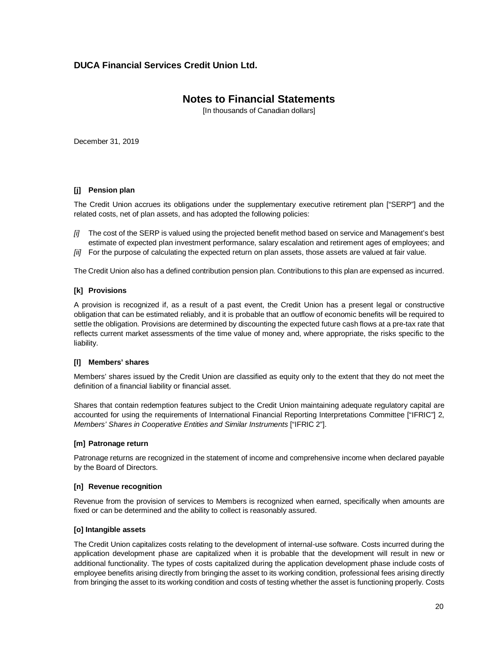## **Notes to Financial Statements**

[In thousands of Canadian dollars]

December 31, 2019

### **[j] Pension plan**

The Credit Union accrues its obligations under the supplementary executive retirement plan ["SERP"] and the related costs, net of plan assets, and has adopted the following policies:

- *[i]* The cost of the SERP is valued using the projected benefit method based on service and Management's best estimate of expected plan investment performance, salary escalation and retirement ages of employees; and
- *[ii]* For the purpose of calculating the expected return on plan assets, those assets are valued at fair value.

The Credit Union also has a defined contribution pension plan. Contributions to this plan are expensed as incurred.

### **[k] Provisions**

A provision is recognized if, as a result of a past event, the Credit Union has a present legal or constructive obligation that can be estimated reliably, and it is probable that an outflow of economic benefits will be required to settle the obligation. Provisions are determined by discounting the expected future cash flows at a pre-tax rate that reflects current market assessments of the time value of money and, where appropriate, the risks specific to the liability.

### **[l] Members' shares**

Members' shares issued by the Credit Union are classified as equity only to the extent that they do not meet the definition of a financial liability or financial asset.

Shares that contain redemption features subject to the Credit Union maintaining adequate regulatory capital are accounted for using the requirements of International Financial Reporting Interpretations Committee ["IFRIC"] 2, *Members' Shares in Cooperative Entities and Similar Instruments* ["IFRIC 2"].

### **[m] Patronage return**

Patronage returns are recognized in the statement of income and comprehensive income when declared payable by the Board of Directors.

### **[n] Revenue recognition**

Revenue from the provision of services to Members is recognized when earned, specifically when amounts are fixed or can be determined and the ability to collect is reasonably assured.

### **[o] Intangible assets**

The Credit Union capitalizes costs relating to the development of internal-use software. Costs incurred during the application development phase are capitalized when it is probable that the development will result in new or additional functionality. The types of costs capitalized during the application development phase include costs of employee benefits arising directly from bringing the asset to its working condition, professional fees arising directly from bringing the asset to its working condition and costs of testing whether the asset is functioning properly. Costs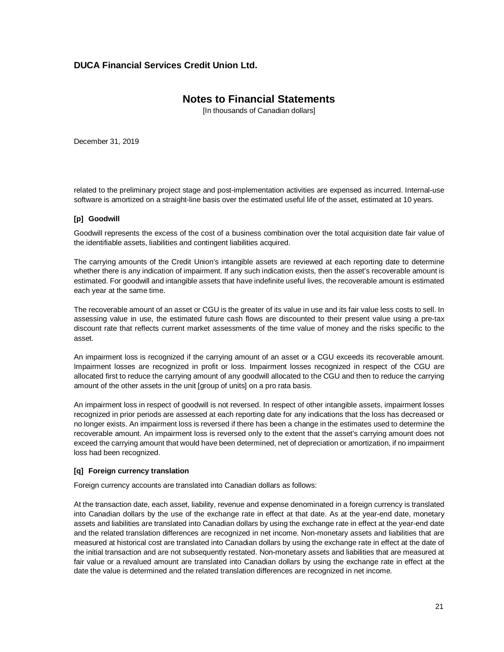## **Notes to Financial Statements**

[In thousands of Canadian dollars]

December 31, 2019

related to the preliminary project stage and post-implementation activities are expensed as incurred. Internal-use software is amortized on a straight-line basis over the estimated useful life of the asset, estimated at 10 years.

### **[p] Goodwill**

Goodwill represents the excess of the cost of a business combination over the total acquisition date fair value of the identifiable assets, liabilities and contingent liabilities acquired.

The carrying amounts of the Credit Union's intangible assets are reviewed at each reporting date to determine whether there is any indication of impairment. If any such indication exists, then the asset's recoverable amount is estimated. For goodwill and intangible assets that have indefinite useful lives, the recoverable amount is estimated each year at the same time.

The recoverable amount of an asset or CGU is the greater of its value in use and its fair value less costs to sell. In assessing value in use, the estimated future cash flows are discounted to their present value using a pre-tax discount rate that reflects current market assessments of the time value of money and the risks specific to the asset.

An impairment loss is recognized if the carrying amount of an asset or a CGU exceeds its recoverable amount. Impairment losses are recognized in profit or loss. Impairment losses recognized in respect of the CGU are allocated first to reduce the carrying amount of any goodwill allocated to the CGU and then to reduce the carrying amount of the other assets in the unit [group of units] on a pro rata basis.

An impairment loss in respect of goodwill is not reversed. In respect of other intangible assets, impairment losses recognized in prior periods are assessed at each reporting date for any indications that the loss has decreased or no longer exists. An impairment loss is reversed if there has been a change in the estimates used to determine the recoverable amount. An impairment loss is reversed only to the extent that the asset's carrying amount does not exceed the carrying amount that would have been determined, net of depreciation or amortization, if no impairment loss had been recognized.

### **[q] Foreign currency translation**

Foreign currency accounts are translated into Canadian dollars as follows:

At the transaction date, each asset, liability, revenue and expense denominated in a foreign currency is translated into Canadian dollars by the use of the exchange rate in effect at that date. As at the year-end date, monetary assets and liabilities are translated into Canadian dollars by using the exchange rate in effect at the year-end date and the related translation differences are recognized in net income. Non-monetary assets and liabilities that are measured at historical cost are translated into Canadian dollars by using the exchange rate in effect at the date of the initial transaction and are not subsequently restated. Non-monetary assets and liabilities that are measured at fair value or a revalued amount are translated into Canadian dollars by using the exchange rate in effect at the date the value is determined and the related translation differences are recognized in net income.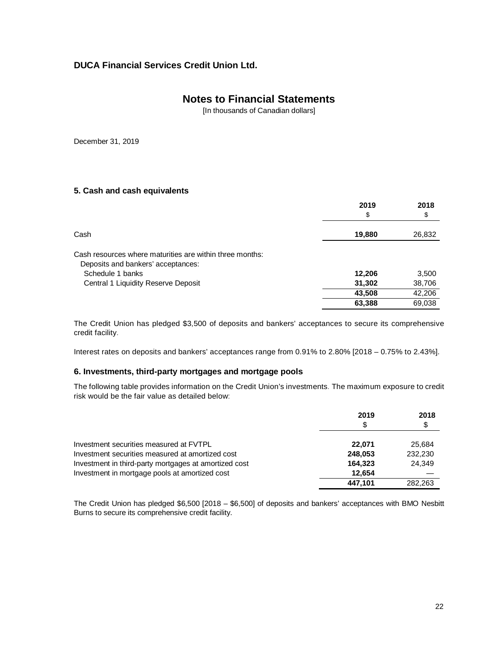## **Notes to Financial Statements**

[In thousands of Canadian dollars]

December 31, 2019

### **5. Cash and cash equivalents**

|                                                                                                | 2019   | 2018   |
|------------------------------------------------------------------------------------------------|--------|--------|
|                                                                                                | \$     | \$     |
| Cash                                                                                           | 19,880 | 26,832 |
| Cash resources where maturities are within three months:<br>Deposits and bankers' acceptances: |        |        |
| Schedule 1 banks                                                                               | 12,206 | 3,500  |
| Central 1 Liquidity Reserve Deposit                                                            | 31,302 | 38,706 |
|                                                                                                | 43,508 | 42,206 |
|                                                                                                | 63,388 | 69.038 |

The Credit Union has pledged \$3,500 of deposits and bankers' acceptances to secure its comprehensive credit facility.

Interest rates on deposits and bankers' acceptances range from 0.91% to 2.80% [2018 – 0.75% to 2.43%].

### **6. Investments, third-party mortgages and mortgage pools**

The following table provides information on the Credit Union's investments. The maximum exposure to credit risk would be the fair value as detailed below:

|                                                       | 2019<br>S | 2018<br>\$ |
|-------------------------------------------------------|-----------|------------|
| Investment securities measured at FVTPL               | 22.071    | 25.684     |
| Investment securities measured at amortized cost      | 248.053   | 232,230    |
| Investment in third-party mortgages at amortized cost | 164.323   | 24,349     |
| Investment in mortgage pools at amortized cost        | 12.654    |            |
|                                                       | 447.101   | 282.263    |

The Credit Union has pledged \$6,500 [2018 – \$6,500] of deposits and bankers' acceptances with BMO Nesbitt Burns to secure its comprehensive credit facility.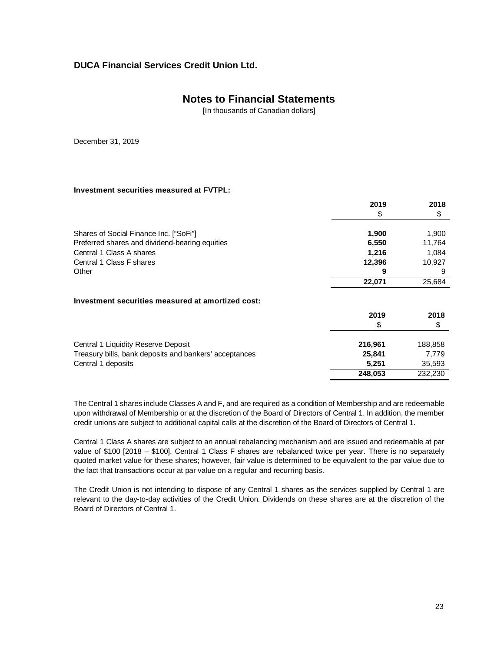## **Notes to Financial Statements**

[In thousands of Canadian dollars]

December 31, 2019

### **Investment securities measured at FVTPL:**

|                                                        | 2019    | 2018    |
|--------------------------------------------------------|---------|---------|
|                                                        | \$      | \$      |
| Shares of Social Finance Inc. ["SoFi"]                 | 1,900   | 1,900   |
| Preferred shares and dividend-bearing equities         | 6,550   | 11,764  |
| Central 1 Class A shares                               | 1,216   | 1,084   |
| Central 1 Class F shares                               | 12,396  | 10,927  |
| Other                                                  | 9       | 9       |
|                                                        | 22,071  | 25,684  |
| Investment securities measured at amortized cost:      |         |         |
|                                                        | 2019    | 2018    |
|                                                        | S       | \$      |
| Central 1 Liquidity Reserve Deposit                    | 216,961 | 188,858 |
| Treasury bills, bank deposits and bankers' acceptances | 25,841  | 7,779   |
| Central 1 deposits                                     | 5,251   | 35,593  |
|                                                        | 248,053 | 232,230 |

The Central 1 shares include Classes A and F, and are required as a condition of Membership and are redeemable upon withdrawal of Membership or at the discretion of the Board of Directors of Central 1. In addition, the member credit unions are subject to additional capital calls at the discretion of the Board of Directors of Central 1.

Central 1 Class A shares are subject to an annual rebalancing mechanism and are issued and redeemable at par value of \$100 [2018 – \$100]. Central 1 Class F shares are rebalanced twice per year. There is no separately quoted market value for these shares; however, fair value is determined to be equivalent to the par value due to the fact that transactions occur at par value on a regular and recurring basis.

The Credit Union is not intending to dispose of any Central 1 shares as the services supplied by Central 1 are relevant to the day-to-day activities of the Credit Union. Dividends on these shares are at the discretion of the Board of Directors of Central 1.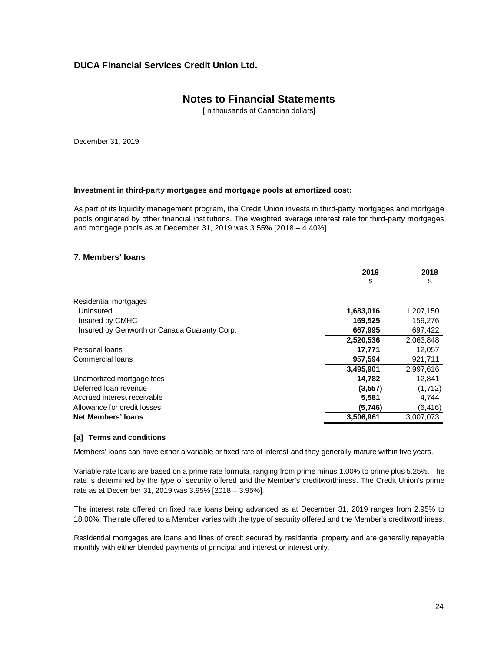## **Notes to Financial Statements**

[In thousands of Canadian dollars]

December 31, 2019

### **Investment in third-party mortgages and mortgage pools at amortized cost:**

As part of its liquidity management program, the Credit Union invests in third-party mortgages and mortgage pools originated by other financial institutions. The weighted average interest rate for third-party mortgages and mortgage pools as at December 31, 2019 was 3.55% [2018 – 4.40%].

### **7. Members' loans**

|                                              | 2019<br>\$ | 2018<br>\$ |
|----------------------------------------------|------------|------------|
| Residential mortgages                        |            |            |
| Uninsured                                    | 1,683,016  | 1,207,150  |
| Insured by CMHC                              | 169,525    | 159,276    |
| Insured by Genworth or Canada Guaranty Corp. | 667,995    | 697,422    |
|                                              | 2,520,536  | 2,063,848  |
| Personal loans                               | 17,771     | 12,057     |
| Commercial loans                             | 957,594    | 921,711    |
|                                              | 3,495,901  | 2,997,616  |
| Unamortized mortgage fees                    | 14,782     | 12,841     |
| Deferred loan revenue                        | (3, 557)   | (1,712)    |
| Accrued interest receivable                  | 5,581      | 4,744      |
| Allowance for credit losses                  | (5,746)    | (6, 416)   |
| Net Members' loans                           | 3,506,961  | 3,007,073  |

### **[a] Terms and conditions**

Members' loans can have either a variable or fixed rate of interest and they generally mature within five years.

Variable rate loans are based on a prime rate formula, ranging from prime minus 1.00% to prime plus 5.25%. The rate is determined by the type of security offered and the Member's creditworthiness. The Credit Union's prime rate as at December 31, 2019 was 3.95% [2018 – 3.95%].

The interest rate offered on fixed rate loans being advanced as at December 31, 2019 ranges from 2.95% to 18.00%. The rate offered to a Member varies with the type of security offered and the Member's creditworthiness.

Residential mortgages are loans and lines of credit secured by residential property and are generally repayable monthly with either blended payments of principal and interest or interest only.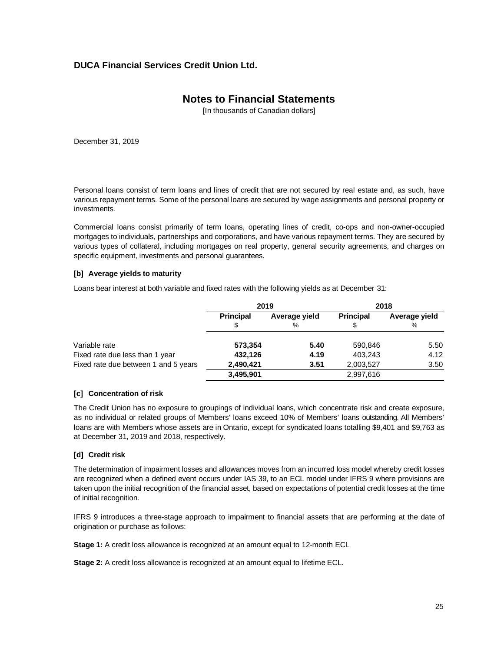## **Notes to Financial Statements**

[In thousands of Canadian dollars]

December 31, 2019

Personal loans consist of term loans and lines of credit that are not secured by real estate and, as such, have various repayment terms. Some of the personal loans are secured by wage assignments and personal property or investments.

Commercial loans consist primarily of term loans, operating lines of credit, co-ops and non-owner-occupied mortgages to individuals, partnerships and corporations, and have various repayment terms. They are secured by various types of collateral, including mortgages on real property, general security agreements, and charges on specific equipment, investments and personal guarantees.

### **[b] Average yields to maturity**

Loans bear interest at both variable and fixed rates with the following yields as at December 31:

|                                      | 2019             |                       | 2018             |                       |
|--------------------------------------|------------------|-----------------------|------------------|-----------------------|
|                                      | <b>Principal</b> | Average yield<br>$\%$ | <b>Principal</b> | Average yield<br>$\%$ |
| Variable rate                        | 573,354          | 5.40                  | 590,846          | 5.50                  |
| Fixed rate due less than 1 year      | 432,126          | 4.19                  | 403.243          | 4.12                  |
| Fixed rate due between 1 and 5 years | 2,490,421        | 3.51                  | 2,003,527        | 3.50                  |
|                                      | 3,495,901        |                       | 2,997,616        |                       |

### **[c] Concentration of risk**

The Credit Union has no exposure to groupings of individual loans, which concentrate risk and create exposure, as no individual or related groups of Members' loans exceed 10% of Members' loans outstanding. All Members' loans are with Members whose assets are in Ontario, except for syndicated loans totalling \$9,401 and \$9,763 as at December 31, 2019 and 2018, respectively.

### **[d] Credit risk**

The determination of impairment losses and allowances moves from an incurred loss model whereby credit losses are recognized when a defined event occurs under IAS 39, to an ECL model under IFRS 9 where provisions are taken upon the initial recognition of the financial asset, based on expectations of potential credit losses at the time of initial recognition.

IFRS 9 introduces a three-stage approach to impairment to financial assets that are performing at the date of origination or purchase as follows:

**Stage 1:** A credit loss allowance is recognized at an amount equal to 12-month ECL

**Stage 2:** A credit loss allowance is recognized at an amount equal to lifetime ECL.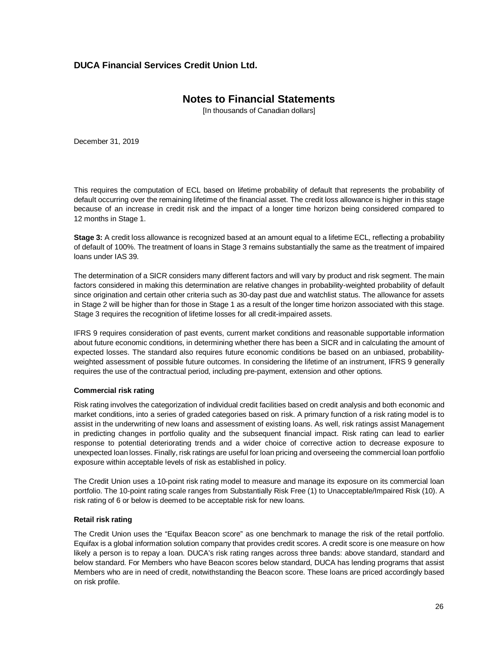## **Notes to Financial Statements**

[In thousands of Canadian dollars]

December 31, 2019

This requires the computation of ECL based on lifetime probability of default that represents the probability of default occurring over the remaining lifetime of the financial asset. The credit loss allowance is higher in this stage because of an increase in credit risk and the impact of a longer time horizon being considered compared to 12 months in Stage 1.

**Stage 3:** A credit loss allowance is recognized based at an amount equal to a lifetime ECL, reflecting a probability of default of 100%. The treatment of loans in Stage 3 remains substantially the same as the treatment of impaired loans under IAS 39.

The determination of a SICR considers many different factors and will vary by product and risk segment. The main factors considered in making this determination are relative changes in probability-weighted probability of default since origination and certain other criteria such as 30-day past due and watchlist status. The allowance for assets in Stage 2 will be higher than for those in Stage 1 as a result of the longer time horizon associated with this stage. Stage 3 requires the recognition of lifetime losses for all credit-impaired assets.

IFRS 9 requires consideration of past events, current market conditions and reasonable supportable information about future economic conditions, in determining whether there has been a SICR and in calculating the amount of expected losses. The standard also requires future economic conditions be based on an unbiased, probabilityweighted assessment of possible future outcomes. In considering the lifetime of an instrument, IFRS 9 generally requires the use of the contractual period, including pre-payment, extension and other options.

### **Commercial risk rating**

Risk rating involves the categorization of individual credit facilities based on credit analysis and both economic and market conditions, into a series of graded categories based on risk. A primary function of a risk rating model is to assist in the underwriting of new loans and assessment of existing loans. As well, risk ratings assist Management in predicting changes in portfolio quality and the subsequent financial impact. Risk rating can lead to earlier response to potential deteriorating trends and a wider choice of corrective action to decrease exposure to unexpected loan losses. Finally, risk ratings are useful for loan pricing and overseeing the commercial loan portfolio exposure within acceptable levels of risk as established in policy.

The Credit Union uses a 10-point risk rating model to measure and manage its exposure on its commercial loan portfolio. The 10-point rating scale ranges from Substantially Risk Free (1) to Unacceptable/Impaired Risk (10). A risk rating of 6 or below is deemed to be acceptable risk for new loans.

### **Retail risk rating**

The Credit Union uses the "Equifax Beacon score" as one benchmark to manage the risk of the retail portfolio. Equifax is a global information solution company that provides credit scores. A credit score is one measure on how likely a person is to repay a loan. DUCA's risk rating ranges across three bands: above standard, standard and below standard. For Members who have Beacon scores below standard, DUCA has lending programs that assist Members who are in need of credit, notwithstanding the Beacon score. These loans are priced accordingly based on risk profile.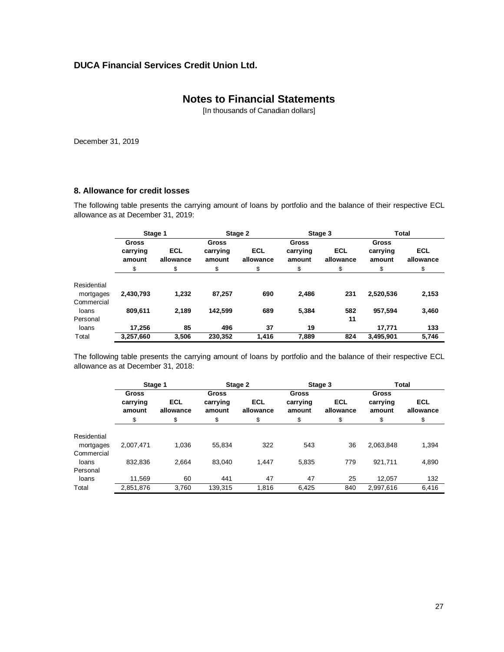## **Notes to Financial Statements**

[In thousands of Canadian dollars]

December 31, 2019

### **8. Allowance for credit losses**

The following table presents the carrying amount of loans by portfolio and the balance of their respective ECL allowance as at December 31, 2019:

|             | Stage 1                     |                         |                                    | Stage 2<br>Stage 3      |                             |                         |                                    | Total            |  |
|-------------|-----------------------------|-------------------------|------------------------------------|-------------------------|-----------------------------|-------------------------|------------------------------------|------------------|--|
|             | Gross<br>carrying<br>amount | <b>ECL</b><br>allowance | <b>Gross</b><br>carrying<br>amount | <b>ECL</b><br>allowance | Gross<br>carrying<br>amount | <b>ECL</b><br>allowance | <b>Gross</b><br>carrying<br>amount | ECL<br>allowance |  |
|             | \$                          | \$                      | \$                                 | \$                      | \$                          | \$                      | \$                                 | \$               |  |
| Residential |                             |                         |                                    |                         |                             |                         |                                    |                  |  |
| mortgages   | 2,430,793                   | 1,232                   | 87,257                             | 690                     | 2,486                       | 231                     | 2,520,536                          | 2,153            |  |
| Commercial  |                             |                         |                                    |                         |                             |                         |                                    |                  |  |
| loans       | 809,611                     | 2,189                   | 142,599                            | 689                     | 5,384                       | 582                     | 957.594                            | 3,460            |  |
| Personal    |                             |                         |                                    |                         |                             | 11                      |                                    |                  |  |
| loans       | 17,256                      | 85                      | 496                                | 37                      | 19                          |                         | 17.771                             | 133              |  |
| Total       | 3,257,660                   | 3,506                   | 230,352                            | 1,416                   | 7,889                       | 824                     | 3,495,901                          | 5,746            |  |

The following table presents the carrying amount of loans by portfolio and the balance of their respective ECL allowance as at December 31, 2018:

|             | Stage 1                           |                        |                                          | Stage 2                | Total<br>Stage 3                  |                        |                                          |                        |
|-------------|-----------------------------------|------------------------|------------------------------------------|------------------------|-----------------------------------|------------------------|------------------------------------------|------------------------|
|             | Gross<br>carrying<br>amount<br>\$ | ECL<br>allowance<br>\$ | <b>Gross</b><br>carrying<br>amount<br>\$ | ECL<br>allowance<br>\$ | Gross<br>carrying<br>amount<br>\$ | ECL<br>allowance<br>\$ | <b>Gross</b><br>carrying<br>amount<br>\$ | ECL<br>allowance<br>\$ |
|             |                                   |                        |                                          |                        |                                   |                        |                                          |                        |
| Residential |                                   |                        |                                          |                        |                                   |                        |                                          |                        |
| mortgages   | 2,007,471                         | 1,036                  | 55,834                                   | 322                    | 543                               | 36                     | 2,063,848                                | 1,394                  |
| Commercial  |                                   |                        |                                          |                        |                                   |                        |                                          |                        |
| loans       | 832.836                           | 2,664                  | 83,040                                   | 1,447                  | 5,835                             | 779                    | 921,711                                  | 4,890                  |
| Personal    |                                   |                        |                                          |                        |                                   |                        |                                          |                        |
| loans       | 11.569                            | 60                     | 441                                      | 47                     | 47                                | 25                     | 12.057                                   | 132                    |
| Total       | 2,851,876                         | 3,760                  | 139.315                                  | 1,816                  | 6,425                             | 840                    | 2,997,616                                | 6,416                  |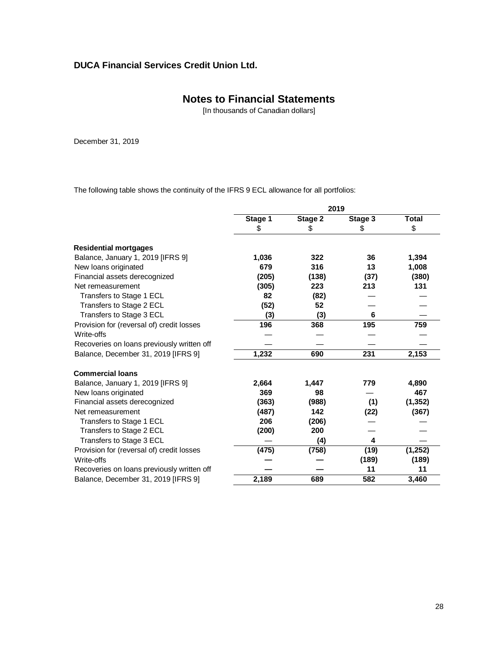## **Notes to Financial Statements**

[In thousands of Canadian dollars]

December 31, 2019

The following table shows the continuity of the IFRS 9 ECL allowance for all portfolios:

|                                            |         | 2019    |         |              |
|--------------------------------------------|---------|---------|---------|--------------|
|                                            | Stage 1 | Stage 2 | Stage 3 | <b>Total</b> |
|                                            | \$      | \$      | \$      | \$           |
| <b>Residential mortgages</b>               |         |         |         |              |
| Balance, January 1, 2019 [IFRS 9]          | 1,036   | 322     | 36      | 1,394        |
| New loans originated                       | 679     | 316     | 13      | 1,008        |
| Financial assets derecognized              | (205)   | (138)   | (37)    | (380)        |
| Net remeasurement                          | (305)   | 223     | 213     | 131          |
| Transfers to Stage 1 ECL                   | 82      | (82)    |         |              |
| Transfers to Stage 2 ECL                   | (52)    | 52      |         |              |
| Transfers to Stage 3 ECL                   | (3)     | (3)     | 6       |              |
| Provision for (reversal of) credit losses  | 196     | 368     | 195     | 759          |
| Write-offs                                 |         |         |         |              |
| Recoveries on loans previously written off |         |         |         |              |
| Balance, December 31, 2019 [IFRS 9]        | 1,232   | 690     | 231     | 2,153        |
| <b>Commercial loans</b>                    |         |         |         |              |
| Balance, January 1, 2019 [IFRS 9]          | 2,664   | 1,447   | 779     | 4,890        |
| New loans originated                       | 369     | 98      |         | 467          |
| Financial assets derecognized              | (363)   | (988)   | (1)     | (1, 352)     |
| Net remeasurement                          | (487)   | 142     | (22)    | (367)        |
| Transfers to Stage 1 ECL                   | 206     | (206)   |         |              |
| Transfers to Stage 2 ECL                   | (200)   | 200     |         |              |
| Transfers to Stage 3 ECL                   |         | (4)     | 4       |              |
| Provision for (reversal of) credit losses  | (475)   | (758)   | (19)    | (1, 252)     |
| Write-offs                                 |         |         | (189)   | (189)        |
| Recoveries on loans previously written off |         |         | 11      | 11           |
| Balance, December 31, 2019 [IFRS 9]        | 2,189   | 689     | 582     | 3,460        |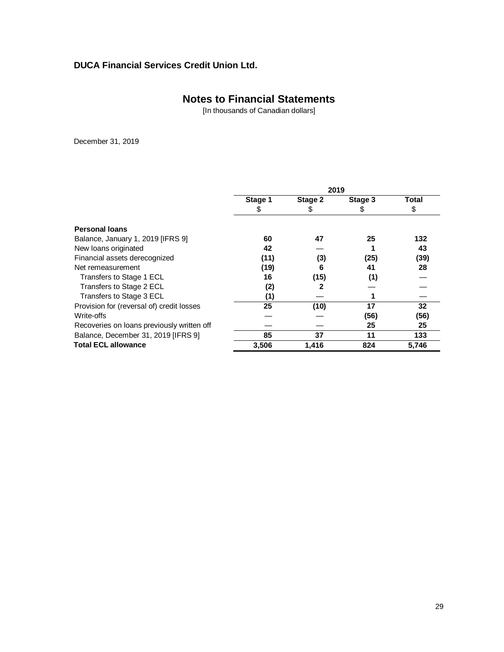## **Notes to Financial Statements**

[In thousands of Canadian dollars]

December 31, 2019

|                                            |         | 2019    |         |       |  |
|--------------------------------------------|---------|---------|---------|-------|--|
|                                            | Stage 1 | Stage 2 | Stage 3 | Total |  |
|                                            | \$      | \$      | æ       | \$    |  |
| <b>Personal loans</b>                      |         |         |         |       |  |
| Balance, January 1, 2019 [IFRS 9]          | 60      | 47      | 25      | 132   |  |
| New loans originated                       | 42      |         |         | 43    |  |
| Financial assets derecognized              | (11)    | (3)     | (25)    | (39)  |  |
| Net remeasurement                          | (19)    | 6       | 41      | 28    |  |
| Transfers to Stage 1 ECL                   | 16      | (15)    | (1)     |       |  |
| Transfers to Stage 2 ECL                   | (2)     | 2       |         |       |  |
| Transfers to Stage 3 ECL                   | (1)     |         |         |       |  |
| Provision for (reversal of) credit losses  | 25      | (10)    | 17      | 32    |  |
| Write-offs                                 |         |         | (56)    | (56)  |  |
| Recoveries on loans previously written off |         |         | 25      | 25    |  |
| Balance, December 31, 2019 [IFRS 9]        | 85      | 37      | 11      | 133   |  |
| <b>Total ECL allowance</b>                 | 3,506   | 1,416   | 824     | 5.746 |  |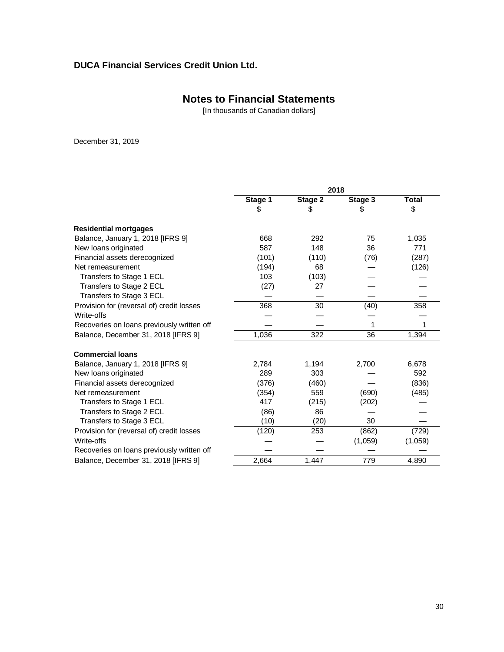## **Notes to Financial Statements**

[In thousands of Canadian dollars]

December 31, 2019

|                                            |         | 2018    |         |              |
|--------------------------------------------|---------|---------|---------|--------------|
|                                            | Stage 1 | Stage 2 | Stage 3 | <b>Total</b> |
|                                            | \$      | \$      | \$      | \$           |
| <b>Residential mortgages</b>               |         |         |         |              |
| Balance, January 1, 2018 [IFRS 9]          | 668     | 292     | 75      | 1,035        |
| New loans originated                       | 587     | 148     | 36      | 771          |
| Financial assets derecognized              | (101)   | (110)   | (76)    | (287)        |
| Net remeasurement                          | (194)   | 68      |         | (126)        |
| Transfers to Stage 1 ECL                   | 103     | (103)   |         |              |
| Transfers to Stage 2 ECL                   | (27)    | 27      |         |              |
| Transfers to Stage 3 ECL                   |         |         |         |              |
| Provision for (reversal of) credit losses  | 368     | 30      | (40)    | 358          |
| Write-offs                                 |         |         |         |              |
| Recoveries on loans previously written off |         |         | 1       | 1            |
| Balance, December 31, 2018 [IFRS 9]        | 1,036   | 322     | 36      | 1,394        |
| <b>Commercial loans</b>                    |         |         |         |              |
| Balance, January 1, 2018 [IFRS 9]          | 2,784   | 1,194   | 2,700   | 6,678        |
| New loans originated                       | 289     | 303     |         | 592          |
| Financial assets derecognized              | (376)   | (460)   |         | (836)        |
| Net remeasurement                          | (354)   | 559     | (690)   | (485)        |
| Transfers to Stage 1 ECL                   | 417     | (215)   | (202)   |              |
| Transfers to Stage 2 ECL                   | (86)    | 86      |         |              |
| Transfers to Stage 3 ECL                   | (10)    | (20)    | 30      |              |
| Provision for (reversal of) credit losses  | (120)   | 253     | (862)   | (729)        |
| Write-offs                                 |         |         | (1,059) | (1,059)      |
| Recoveries on loans previously written off |         |         |         |              |
| Balance, December 31, 2018 [IFRS 9]        | 2,664   | 1,447   | 779     | 4,890        |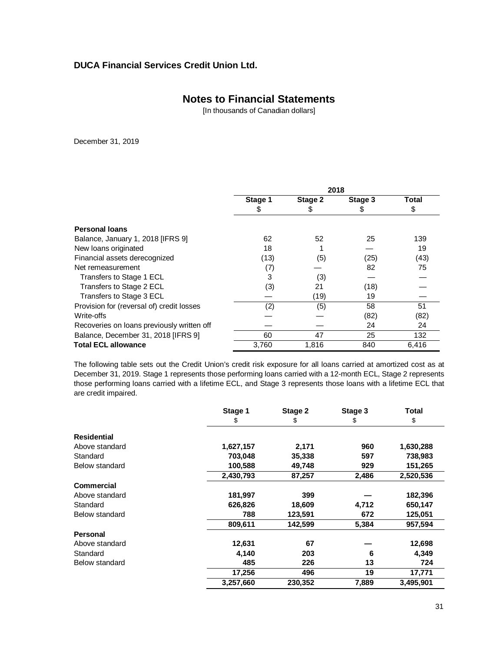## **Notes to Financial Statements**

[In thousands of Canadian dollars]

December 31, 2019

|                                            |         | 2018    |         |       |
|--------------------------------------------|---------|---------|---------|-------|
|                                            | Stage 1 | Stage 2 | Stage 3 | Total |
|                                            |         | \$      | \$      | \$    |
| <b>Personal loans</b>                      |         |         |         |       |
| Balance, January 1, 2018 [IFRS 9]          | 62      | 52      | 25      | 139   |
| New loans originated                       | 18      |         |         | 19    |
| Financial assets derecognized              | (13)    | (5)     | (25)    | (43)  |
| Net remeasurement                          | (7)     |         | 82      | 75    |
| Transfers to Stage 1 ECL                   | 3       | (3)     |         |       |
| Transfers to Stage 2 ECL                   | (3)     | 21      | (18)    |       |
| Transfers to Stage 3 ECL                   |         | (19)    | 19      |       |
| Provision for (reversal of) credit losses  | (2)     | (5)     | 58      | 51    |
| Write-offs                                 |         |         | (82)    | (82)  |
| Recoveries on loans previously written off |         |         | 24      | 24    |
| Balance, December 31, 2018 [IFRS 9]        | 60      | 47      | 25      | 132   |
| <b>Total ECL allowance</b>                 | 3,760   | 1,816   | 840     | 6,416 |

The following table sets out the Credit Union's credit risk exposure for all loans carried at amortized cost as at December 31, 2019. Stage 1 represents those performing loans carried with a 12-month ECL, Stage 2 represents those performing loans carried with a lifetime ECL, and Stage 3 represents those loans with a lifetime ECL that are credit impaired.

|                    | Stage 1   | Stage 2 | Stage 3 | <b>Total</b> |
|--------------------|-----------|---------|---------|--------------|
|                    | \$        | \$      | \$      | \$           |
| <b>Residential</b> |           |         |         |              |
| Above standard     | 1,627,157 | 2,171   | 960     | 1,630,288    |
| Standard           | 703,048   | 35,338  | 597     | 738,983      |
| Below standard     | 100,588   | 49,748  | 929     | 151,265      |
|                    | 2,430,793 | 87,257  | 2,486   | 2,520,536    |
| <b>Commercial</b>  |           |         |         |              |
| Above standard     | 181,997   | 399     |         | 182,396      |
| Standard           | 626,826   | 18,609  | 4,712   | 650,147      |
| Below standard     | 788       | 123,591 | 672     | 125,051      |
|                    | 809,611   | 142,599 | 5,384   | 957,594      |
| <b>Personal</b>    |           |         |         |              |
| Above standard     | 12,631    | 67      |         | 12,698       |
| Standard           | 4,140     | 203     | 6       | 4,349        |
| Below standard     | 485       | 226     | 13      | 724          |
|                    | 17,256    | 496     | 19      | 17,771       |
|                    | 3,257,660 | 230,352 | 7,889   | 3,495,901    |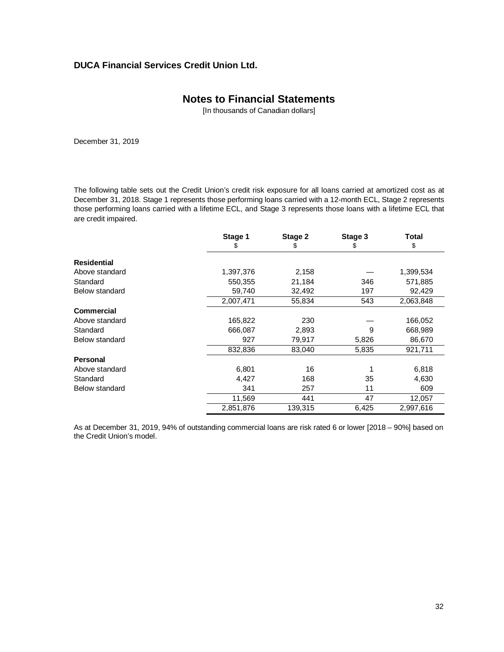## **Notes to Financial Statements**

[In thousands of Canadian dollars]

December 31, 2019

The following table sets out the Credit Union's credit risk exposure for all loans carried at amortized cost as at December 31, 2018. Stage 1 represents those performing loans carried with a 12-month ECL, Stage 2 represents those performing loans carried with a lifetime ECL, and Stage 3 represents those loans with a lifetime ECL that are credit impaired.

|                    | Stage 1<br>\$ | Stage 2<br>P | Stage 3<br>\$ | <b>Total</b><br>\$ |
|--------------------|---------------|--------------|---------------|--------------------|
| <b>Residential</b> |               |              |               |                    |
| Above standard     | 1,397,376     | 2,158        |               | 1,399,534          |
| Standard           | 550,355       | 21,184       | 346           | 571,885            |
| Below standard     | 59,740        | 32,492       | 197           | 92,429             |
|                    | 2,007,471     | 55,834       | 543           | 2,063,848          |
| <b>Commercial</b>  |               |              |               |                    |
| Above standard     | 165,822       | 230          |               | 166,052            |
| Standard           | 666,087       | 2,893        | 9             | 668,989            |
| Below standard     | 927           | 79,917       | 5,826         | 86,670             |
|                    | 832,836       | 83,040       | 5,835         | 921,711            |
| Personal           |               |              |               |                    |
| Above standard     | 6,801         | 16           |               | 6,818              |
| Standard           | 4,427         | 168          | 35            | 4,630              |
| Below standard     | 341           | 257          | 11            | 609                |
|                    | 11,569        | 441          | 47            | 12,057             |
|                    | 2,851,876     | 139,315      | 6,425         | 2,997,616          |

As at December 31, 2019, 94% of outstanding commercial loans are risk rated 6 or lower [2018 – 90%] based on the Credit Union's model.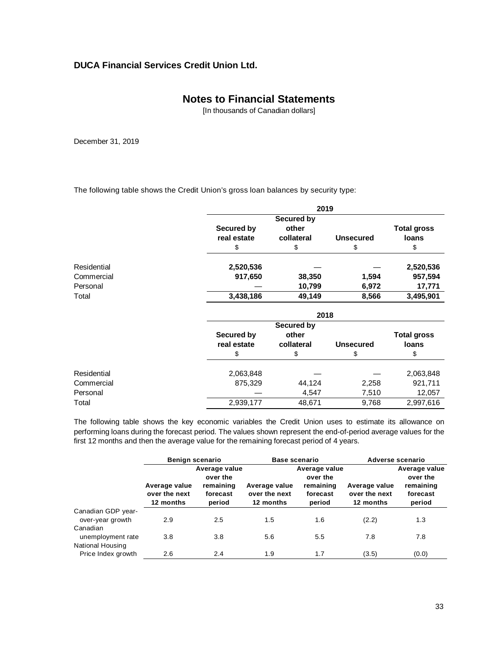## **Notes to Financial Statements**

[In thousands of Canadian dollars]

December 31, 2019

The following table shows the Credit Union's gross loan balances by security type:

|             |                      | 2019       |                  |                             |  |  |  |
|-------------|----------------------|------------|------------------|-----------------------------|--|--|--|
|             |                      | Secured by |                  |                             |  |  |  |
|             | Secured by           | other      |                  | <b>Total gross</b>          |  |  |  |
|             | real estate          | collateral | <b>Unsecured</b> | loans                       |  |  |  |
|             | S                    | \$         | \$               | \$                          |  |  |  |
| Residential | 2,520,536            |            |                  | 2,520,536                   |  |  |  |
| Commercial  | 917,650              | 38,350     | 1,594            | 957,594                     |  |  |  |
| Personal    |                      | 10,799     | 6,972            | 17,771                      |  |  |  |
| Total       | 3,438,186            | 49,149     | 8,566            | 3,495,901                   |  |  |  |
|             |                      | 2018       |                  |                             |  |  |  |
|             |                      |            |                  |                             |  |  |  |
|             |                      | Secured by |                  |                             |  |  |  |
|             | Secured by           | other      |                  |                             |  |  |  |
|             | real estate          | collateral | <b>Unsecured</b> | <b>Total gross</b><br>loans |  |  |  |
|             | \$                   | \$         | \$               | \$                          |  |  |  |
| Residential |                      |            |                  |                             |  |  |  |
| Commercial  | 2,063,848<br>875,329 | 44,124     | 2,258            | 2,063,848                   |  |  |  |
| Personal    |                      | 4,547      | 7,510            | 921,711<br>12,057           |  |  |  |

The following table shows the key economic variables the Credit Union uses to estimate its allowance on performing loans during the forecast period. The values shown represent the end-of-period average values for the first 12 months and then the average value for the remaining forecast period of 4 years.

|                                        | Benign scenario                             |                                                              | <b>Base scenario</b>                        |                                                              | Adverse scenario                            |                                                              |
|----------------------------------------|---------------------------------------------|--------------------------------------------------------------|---------------------------------------------|--------------------------------------------------------------|---------------------------------------------|--------------------------------------------------------------|
|                                        | Average value<br>over the next<br>12 months | Average value<br>over the<br>remaining<br>forecast<br>period | Average value<br>over the next<br>12 months | Average value<br>over the<br>remaining<br>forecast<br>period | Average value<br>over the next<br>12 months | Average value<br>over the<br>remaining<br>forecast<br>period |
| Canadian GDP year-<br>over-year growth | 2.9                                         | 2.5                                                          | 1.5                                         | 1.6                                                          | (2.2)                                       | 1.3                                                          |
| Canadian<br>unemployment rate          | 3.8                                         | 3.8                                                          | 5.6                                         | 5.5                                                          | 7.8                                         | 7.8                                                          |
| National Housing<br>Price Index growth | 2.6                                         | 2.4                                                          | 1.9                                         | 1.7                                                          | (3.5)                                       | (0.0)                                                        |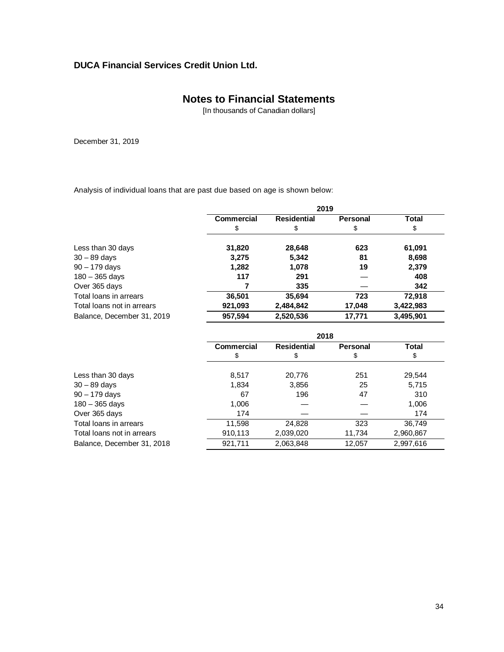## **Notes to Financial Statements**

[In thousands of Canadian dollars]

December 31, 2019

Analysis of individual loans that are past due based on age is shown below:

|                            | 2019       |                    |          |              |  |  |
|----------------------------|------------|--------------------|----------|--------------|--|--|
|                            | Commercial | <b>Residential</b> | Personal | <b>Total</b> |  |  |
|                            | \$         | \$                 | \$       | \$           |  |  |
| Less than 30 days          | 31,820     | 28,648             | 623      | 61,091       |  |  |
| $30 - 89$ days             | 3,275      | 5,342              | 81       | 8,698        |  |  |
| $90 - 179$ days            | 1,282      | 1,078              | 19       | 2,379        |  |  |
| $180 - 365$ days           | 117        | 291                |          | 408          |  |  |
| Over 365 days              |            | 335                |          | 342          |  |  |
| Total loans in arrears     | 36,501     | 35,694             | 723      | 72,918       |  |  |
| Total loans not in arrears | 921,093    | 2,484,842          | 17,048   | 3,422,983    |  |  |
| Balance, December 31, 2019 | 957,594    | 2,520,536          | 17,771   | 3,495,901    |  |  |

|                            | 2018              |                    |                 |           |  |
|----------------------------|-------------------|--------------------|-----------------|-----------|--|
|                            | <b>Commercial</b> | <b>Residential</b> | <b>Personal</b> | Total     |  |
|                            | \$                | \$                 | \$              | \$        |  |
| Less than 30 days          | 8,517             | 20,776             | 251             | 29,544    |  |
| $30 - 89$ days             | 1,834             | 3,856              | 25              | 5,715     |  |
| $90 - 179$ days            | 67                | 196                | 47              | 310       |  |
| $180 - 365$ days           | 1,006             |                    |                 | 1,006     |  |
| Over 365 days              | 174               |                    |                 | 174       |  |
| Total loans in arrears     | 11,598            | 24,828             | 323             | 36,749    |  |
| Total loans not in arrears | 910,113           | 2,039,020          | 11,734          | 2,960,867 |  |
| Balance, December 31, 2018 | 921,711           | 2,063,848          | 12,057          | 2,997,616 |  |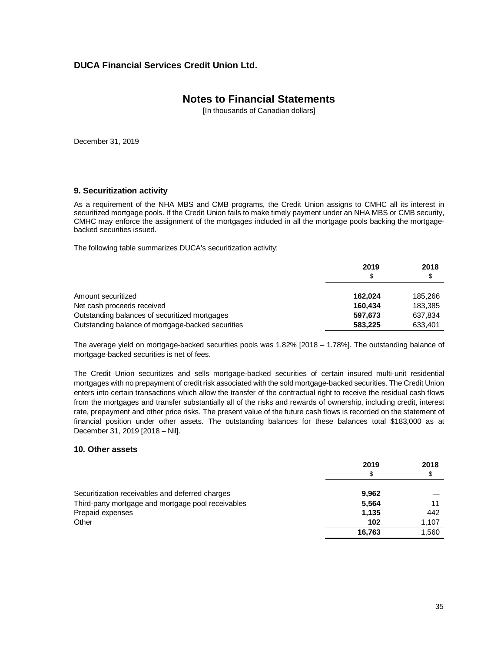## **Notes to Financial Statements**

[In thousands of Canadian dollars]

December 31, 2019

### **9. Securitization activity**

As a requirement of the NHA MBS and CMB programs, the Credit Union assigns to CMHC all its interest in securitized mortgage pools. If the Credit Union fails to make timely payment under an NHA MBS or CMB security, CMHC may enforce the assignment of the mortgages included in all the mortgage pools backing the mortgagebacked securities issued.

The following table summarizes DUCA's securitization activity:

|                                                                                                    | 2019<br>S          | 2018<br>\$         |
|----------------------------------------------------------------------------------------------------|--------------------|--------------------|
| Amount securitized                                                                                 | 162.024            | 185,266            |
| Net cash proceeds received                                                                         | 160.434            | 183,385            |
| Outstanding balances of securitized mortgages<br>Outstanding balance of mortgage-backed securities | 597.673<br>583,225 | 637.834<br>633,401 |

The average yield on mortgage-backed securities pools was 1.82% [2018 – 1.78%]. The outstanding balance of mortgage-backed securities is net of fees.

The Credit Union securitizes and sells mortgage-backed securities of certain insured multi-unit residential mortgages with no prepayment of credit risk associated with the sold mortgage-backed securities. The Credit Union enters into certain transactions which allow the transfer of the contractual right to receive the residual cash flows from the mortgages and transfer substantially all of the risks and rewards of ownership, including credit, interest rate, prepayment and other price risks. The present value of the future cash flows is recorded on the statement of financial position under other assets. The outstanding balances for these balances total \$183,000 as at December 31, 2019 [2018 – Nil].

### **10. Other assets**

|                                                    | 2019<br>\$ | 2018<br>\$ |
|----------------------------------------------------|------------|------------|
|                                                    |            |            |
| Securitization receivables and deferred charges    | 9,962      |            |
| Third-party mortgage and mortgage pool receivables | 5,564      | 11         |
| Prepaid expenses                                   | 1,135      | 442        |
| Other                                              | 102        | 1,107      |
|                                                    | 16,763     | 1,560      |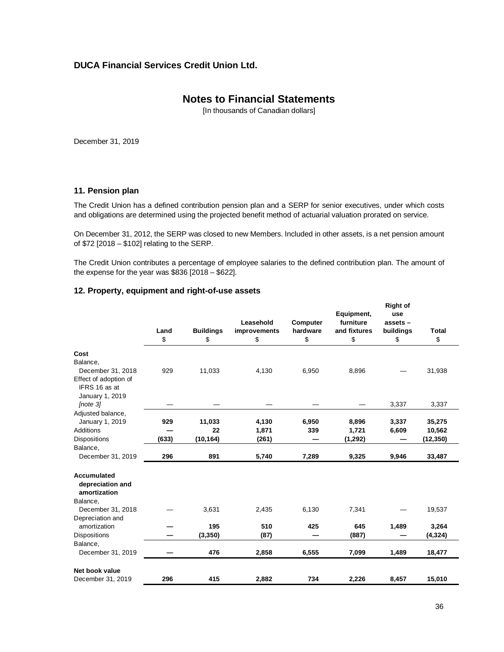## **Notes to Financial Statements**

[In thousands of Canadian dollars]

December 31, 2019

### **11. Pension plan**

The Credit Union has a defined contribution pension plan and a SERP for senior executives, under which costs and obligations are determined using the projected benefit method of actuarial valuation prorated on service.

On December 31, 2012, the SERP was closed to new Members. Included in other assets, is a net pension amount of \$72 [2018 – \$102] relating to the SERP.

The Credit Union contributes a percentage of employee salaries to the defined contribution plan. The amount of the expense for the year was \$836 [2018 – \$622].

### **12. Property, equipment and right-of-use assets**

|                                                             | Land<br>\$ | <b>Buildings</b><br>\$ | Leasehold<br>improvements<br>\$ | Computer<br>hardware<br>\$ | Equipment,<br>furniture<br>and fixtures<br>\$ | <b>Right of</b><br>use<br>assets-<br>buildings<br>\$ | <b>Total</b><br>\$ |
|-------------------------------------------------------------|------------|------------------------|---------------------------------|----------------------------|-----------------------------------------------|------------------------------------------------------|--------------------|
| Cost                                                        |            |                        |                                 |                            |                                               |                                                      |                    |
| Balance.                                                    |            |                        |                                 |                            |                                               |                                                      |                    |
| December 31, 2018                                           | 929        | 11,033                 | 4,130                           | 6,950                      | 8,896                                         |                                                      | 31,938             |
| Effect of adoption of<br>IFRS 16 as at<br>January 1, 2019   |            |                        |                                 |                            |                                               |                                                      |                    |
| [note 3]                                                    |            |                        |                                 |                            |                                               | 3,337                                                | 3,337              |
| Adjusted balance,<br>January 1, 2019                        | 929        | 11,033                 | 4,130                           | 6,950                      | 8,896                                         | 3,337                                                | 35,275             |
| <b>Additions</b>                                            |            | 22                     | 1,871                           | 339                        | 1,721                                         | 6,609                                                | 10,562             |
| Dispositions                                                | (633)      | (10, 164)              | (261)                           |                            | (1, 292)                                      |                                                      | (12, 350)          |
| Balance.                                                    |            |                        |                                 |                            |                                               |                                                      |                    |
| December 31, 2019                                           | 296        | 891                    | 5,740                           | 7,289                      | 9,325                                         | 9,946                                                | 33,487             |
| Accumulated<br>depreciation and<br>amortization<br>Balance, |            |                        |                                 |                            |                                               |                                                      |                    |
| December 31, 2018                                           |            | 3,631                  | 2,435                           | 6,130                      | 7,341                                         |                                                      | 19,537             |
| Depreciation and<br>amortization                            |            | 195                    | 510                             | 425                        | 645                                           | 1,489                                                | 3,264              |
| Dispositions                                                |            | (3, 350)               | (87)                            |                            | (887)                                         |                                                      | (4, 324)           |
| Balance,                                                    |            |                        |                                 |                            |                                               |                                                      |                    |
| December 31, 2019                                           |            | 476                    | 2,858                           | 6,555                      | 7,099                                         | 1,489                                                | 18,477             |
| Net book value                                              |            |                        |                                 |                            |                                               |                                                      |                    |
| December 31, 2019                                           | 296        | 415                    | 2,882                           | 734                        | 2,226                                         | 8,457                                                | 15,010             |
|                                                             |            |                        |                                 |                            |                                               |                                                      |                    |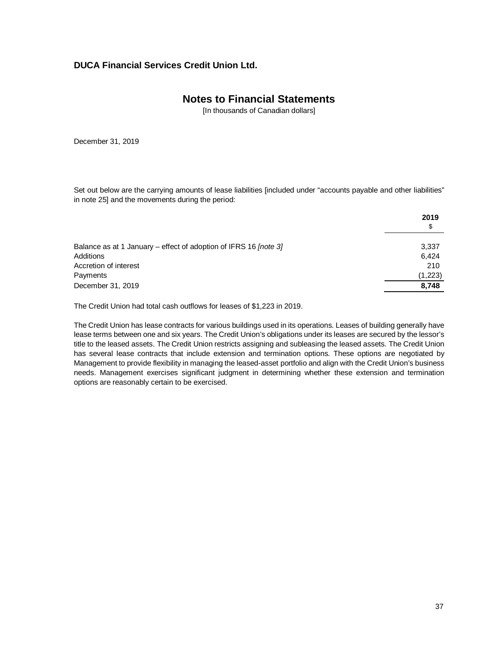## **Notes to Financial Statements**

[In thousands of Canadian dollars]

December 31, 2019

Set out below are the carrying amounts of lease liabilities [included under "accounts payable and other liabilities" in note 25] and the movements during the period:

|                                                                  | 2019    |
|------------------------------------------------------------------|---------|
|                                                                  | \$      |
| Balance as at 1 January – effect of adoption of IFRS 16 [note 3] | 3,337   |
| Additions                                                        | 6.424   |
| Accretion of interest                                            | 210     |
| Payments                                                         | (1,223) |
| December 31, 2019                                                | 8,748   |

The Credit Union had total cash outflows for leases of \$1,223 in 2019.

The Credit Union has lease contracts for various buildings used in its operations. Leases of building generally have lease terms between one and six years. The Credit Union's obligations under its leases are secured by the lessor's title to the leased assets. The Credit Union restricts assigning and subleasing the leased assets. The Credit Union has several lease contracts that include extension and termination options. These options are negotiated by Management to provide flexibility in managing the leased-asset portfolio and align with the Credit Union's business needs. Management exercises significant judgment in determining whether these extension and termination options are reasonably certain to be exercised.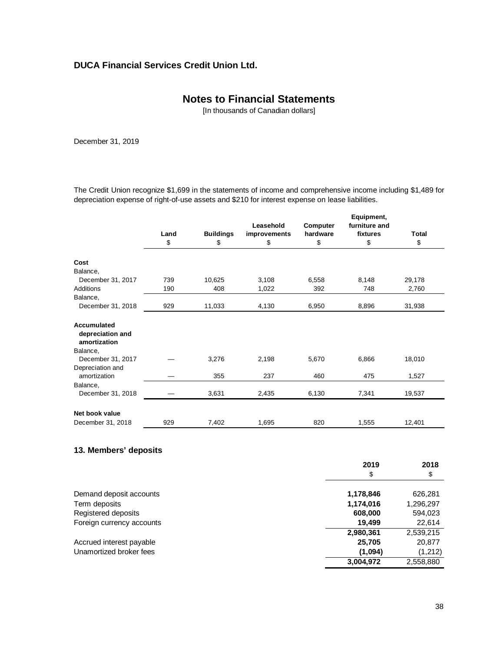## **Notes to Financial Statements**

[In thousands of Canadian dollars]

December 31, 2019

The Credit Union recognize \$1,699 in the statements of income and comprehensive income including \$1,489 for depreciation expense of right-of-use assets and \$210 for interest expense on lease liabilities.

|                                                 |      |                  |                           |                      | Equipment,                |        |
|-------------------------------------------------|------|------------------|---------------------------|----------------------|---------------------------|--------|
|                                                 | Land | <b>Buildings</b> | Leasehold<br>improvements | Computer<br>hardware | furniture and<br>fixtures | Total  |
|                                                 | \$   | \$               | \$                        | \$                   | \$                        | \$     |
| Cost                                            |      |                  |                           |                      |                           |        |
| Balance,                                        |      |                  |                           |                      |                           |        |
| December 31, 2017                               | 739  | 10,625           | 3,108                     | 6,558                | 8,148                     | 29,178 |
| Additions                                       | 190  | 408              | 1,022                     | 392                  | 748                       | 2,760  |
| Balance,                                        |      |                  |                           |                      |                           |        |
| December 31, 2018                               | 929  | 11,033           | 4,130                     | 6,950                | 8,896                     | 31,938 |
| Accumulated<br>depreciation and<br>amortization |      |                  |                           |                      |                           |        |
| Balance,                                        |      |                  |                           |                      |                           |        |
| December 31, 2017                               |      | 3,276            | 2,198                     | 5,670                | 6,866                     | 18,010 |
| Depreciation and<br>amortization                |      | 355              | 237                       | 460                  | 475                       | 1,527  |
| Balance,                                        |      |                  |                           |                      |                           |        |
| December 31, 2018                               |      | 3,631            | 2,435                     | 6,130                | 7,341                     | 19,537 |
| Net book value                                  |      |                  |                           |                      |                           |        |
| December 31, 2018                               | 929  | 7,402            | 1,695                     | 820                  | 1,555                     | 12,401 |

### **13. Members' deposits**

|                           | 2019      | 2018      |
|---------------------------|-----------|-----------|
|                           | \$        | \$        |
|                           |           |           |
| Demand deposit accounts   | 1,178,846 | 626,281   |
| Term deposits             | 1,174,016 | 1,296,297 |
| Registered deposits       | 608,000   | 594,023   |
| Foreign currency accounts | 19,499    | 22,614    |
|                           | 2,980,361 | 2,539,215 |
| Accrued interest payable  | 25,705    | 20,877    |
| Unamortized broker fees   | (1,094)   | (1,212)   |
|                           | 3,004,972 | 2,558,880 |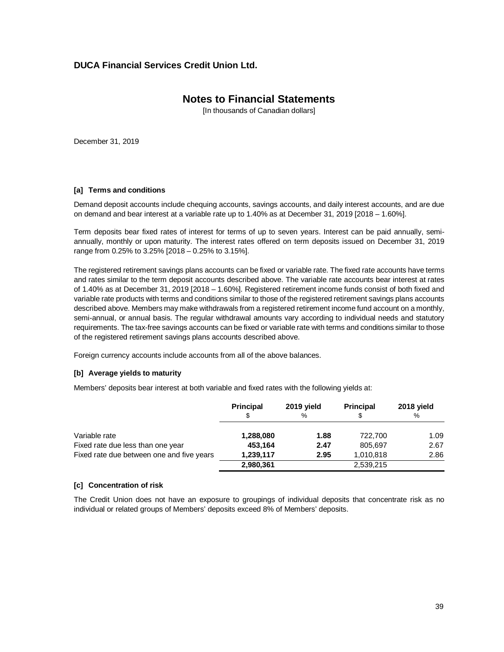## **Notes to Financial Statements**

[In thousands of Canadian dollars]

December 31, 2019

### **[a] Terms and conditions**

Demand deposit accounts include chequing accounts, savings accounts, and daily interest accounts, and are due on demand and bear interest at a variable rate up to 1.40% as at December 31, 2019 [2018 – 1.60%].

Term deposits bear fixed rates of interest for terms of up to seven years. Interest can be paid annually, semiannually, monthly or upon maturity. The interest rates offered on term deposits issued on December 31, 2019 range from 0.25% to 3.25% [2018 – 0.25% to 3.15%].

The registered retirement savings plans accounts can be fixed or variable rate. The fixed rate accounts have terms and rates similar to the term deposit accounts described above. The variable rate accounts bear interest at rates of 1.40% as at December 31, 2019 [2018 – 1.60%]. Registered retirement income funds consist of both fixed and variable rate products with terms and conditions similar to those of the registered retirement savings plans accounts described above. Members may make withdrawals from a registered retirement income fund account on a monthly, semi-annual, or annual basis. The regular withdrawal amounts vary according to individual needs and statutory requirements. The tax-free savings accounts can be fixed or variable rate with terms and conditions similar to those of the registered retirement savings plans accounts described above.

Foreign currency accounts include accounts from all of the above balances.

### **[b] Average yields to maturity**

Members' deposits bear interest at both variable and fixed rates with the following yields at:

|                                           | <b>Principal</b> | 2019 yield<br>$\frac{0}{0}$ | <b>Principal</b><br>S | 2018 yield<br>$\%$ |
|-------------------------------------------|------------------|-----------------------------|-----------------------|--------------------|
| Variable rate                             | 1,288,080        | 1.88                        | 722,700               | 1.09               |
| Fixed rate due less than one year         | 453,164          | 2.47                        | 805,697               | 2.67               |
| Fixed rate due between one and five years | 1,239,117        | 2.95                        | 1,010,818             | 2.86               |
|                                           | 2,980,361        |                             | 2,539,215             |                    |

### **[c] Concentration of risk**

The Credit Union does not have an exposure to groupings of individual deposits that concentrate risk as no individual or related groups of Members' deposits exceed 8% of Members' deposits.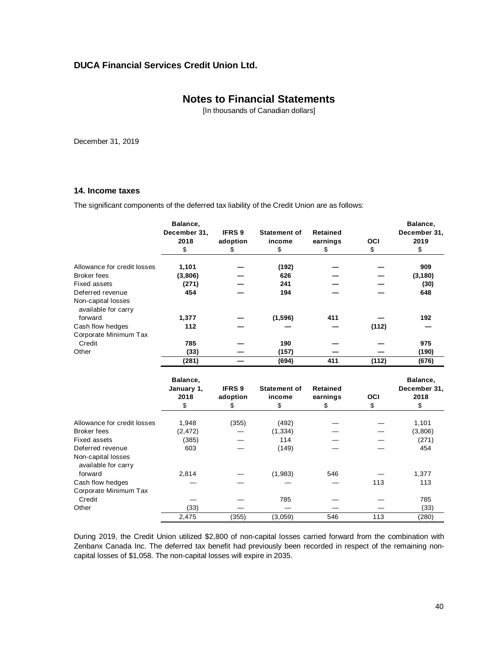## **Notes to Financial Statements**

[In thousands of Canadian dollars]

December 31, 2019

### **14. Income taxes**

The significant components of the deferred tax liability of the Credit Union are as follows:

|                                           | Balance,<br>December 31,<br>2018 | <b>IFRS 9</b><br>adoption | <b>Statement of</b><br>income | <b>Retained</b><br>earnings | OCI        | Balance,<br>December 31,<br>2019 |
|-------------------------------------------|----------------------------------|---------------------------|-------------------------------|-----------------------------|------------|----------------------------------|
|                                           | \$                               | \$                        | \$                            | \$                          | \$         | \$                               |
| Allowance for credit losses               | 1,101                            |                           | (192)                         |                             |            | 909                              |
| <b>Broker</b> fees                        | (3,806)                          |                           | 626                           |                             |            | (3, 180)                         |
| <b>Fixed assets</b>                       | (271)                            |                           | 241                           |                             |            | (30)                             |
| Deferred revenue                          | 454                              |                           | 194                           |                             |            | 648                              |
| Non-capital losses<br>available for carry |                                  |                           |                               |                             |            |                                  |
| forward                                   | 1,377                            |                           | (1,596)                       | 411                         |            | 192                              |
| Cash flow hedges                          | 112                              |                           |                               |                             | (112)      |                                  |
| Corporate Minimum Tax                     |                                  |                           |                               |                             |            |                                  |
| Credit                                    | 785                              |                           | 190                           |                             |            | 975                              |
| Other                                     | (33)                             |                           | (157)                         |                             |            | (190)                            |
|                                           | (281)                            |                           | (694)                         | 411                         | (112)      | (676)                            |
|                                           | Balance,<br>January 1,           | <b>IFRS 9</b>             | <b>Statement of</b>           | <b>Retained</b>             |            | Balance,<br>December 31,         |
|                                           | 2018                             | adoption                  | income                        | earnings                    | <b>OCI</b> | 2018                             |
|                                           | \$                               | \$                        | \$                            | \$                          | \$         | \$                               |
| Allowance for credit losses               | 1,948                            | (355)                     | (492)                         |                             |            | 1,101                            |
| <b>Broker</b> fees                        | (2, 472)                         |                           | (1, 334)                      |                             |            | (3,806)                          |
| <b>Fixed assets</b>                       | (385)                            |                           | 114                           |                             |            | (271)                            |
| Deferred revenue                          | 603                              |                           | (149)                         |                             |            | 454                              |
| Non-capital losses<br>available for carry |                                  |                           |                               |                             |            |                                  |
| forward                                   | 2,814                            |                           | (1,983)                       | 546                         |            | 1,377                            |
| Cash flow hedges                          |                                  |                           |                               |                             | 113        | 113                              |
| Corporate Minimum Tax                     |                                  |                           |                               |                             |            |                                  |
| Credit                                    |                                  |                           | 785                           |                             |            | 785                              |
| Other                                     | (33)                             |                           |                               |                             |            | (33)                             |
|                                           | 2,475                            | (355)                     | (3,059)                       | 546                         | 113        | (280)                            |

During 2019, the Credit Union utilized \$2,800 of non-capital losses carried forward from the combination with Zenbanx Canada Inc. The deferred tax benefit had previously been recorded in respect of the remaining noncapital losses of \$1,058. The non-capital losses will expire in 2035.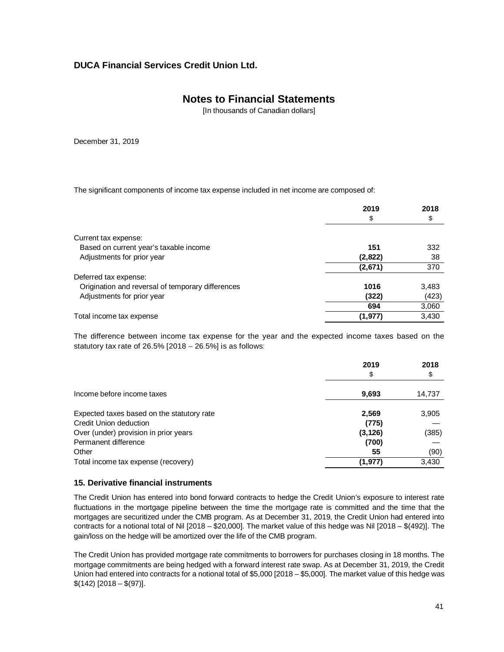## **Notes to Financial Statements**

[In thousands of Canadian dollars]

December 31, 2019

The significant components of income tax expense included in net income are composed of:

|                                                   | 2019     | 2018  |
|---------------------------------------------------|----------|-------|
|                                                   | \$       | \$    |
| Current tax expense:                              |          |       |
| Based on current year's taxable income            | 151      | 332   |
| Adjustments for prior year                        | (2,822)  | 38    |
|                                                   | (2,671)  | 370   |
| Deferred tax expense:                             |          |       |
| Origination and reversal of temporary differences | 1016     | 3,483 |
| Adjustments for prior year                        | (322)    | (423) |
|                                                   | 694      | 3,060 |
| Total income tax expense                          | (1, 977) | 3,430 |
|                                                   |          |       |

The difference between income tax expense for the year and the expected income taxes based on the statutory tax rate of 26.5% [2018 – 26.5%] is as follows:

|                                                                      | 2019<br>\$        | 2018<br>\$ |
|----------------------------------------------------------------------|-------------------|------------|
| Income before income taxes                                           | 9,693             | 14,737     |
| Expected taxes based on the statutory rate<br>Credit Union deduction | 2,569<br>(775)    | 3,905      |
| Over (under) provision in prior years<br>Permanent difference        | (3, 126)<br>(700) | (385)      |
| Other                                                                | 55                | (90)       |
| Total income tax expense (recovery)                                  | (1, 977)          | 3,430      |

### **15. Derivative financial instruments**

The Credit Union has entered into bond forward contracts to hedge the Credit Union's exposure to interest rate fluctuations in the mortgage pipeline between the time the mortgage rate is committed and the time that the mortgages are securitized under the CMB program. As at December 31, 2019, the Credit Union had entered into contracts for a notional total of Nil [2018 – \$20,000]. The market value of this hedge was Nil [2018 – \$(492)]. The gain/loss on the hedge will be amortized over the life of the CMB program.

The Credit Union has provided mortgage rate commitments to borrowers for purchases closing in 18 months. The mortgage commitments are being hedged with a forward interest rate swap. As at December 31, 2019, the Credit Union had entered into contracts for a notional total of \$5,000 [2018 – \$5,000]. The market value of this hedge was  $$(142)$  [2018 – \$(97)].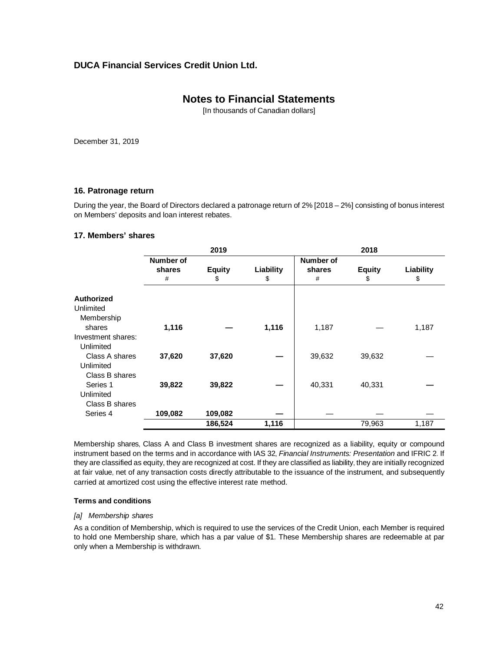## **Notes to Financial Statements**

[In thousands of Canadian dollars]

December 31, 2019

### **16. Patronage return**

During the year, the Board of Directors declared a patronage return of 2% [2018 – 2%] consisting of bonus interest on Members' deposits and loan interest rebates.

### **17. Members' shares**

|                    | 2019                     |                     |                 | 2018                     |                     |                 |
|--------------------|--------------------------|---------------------|-----------------|--------------------------|---------------------|-----------------|
|                    | Number of<br>shares<br># | <b>Equity</b><br>\$ | Liability<br>\$ | Number of<br>shares<br># | <b>Equity</b><br>\$ | Liability<br>\$ |
|                    |                          |                     |                 |                          |                     |                 |
| Authorized         |                          |                     |                 |                          |                     |                 |
| Unlimited          |                          |                     |                 |                          |                     |                 |
| Membership         |                          |                     |                 |                          |                     |                 |
| shares             | 1,116                    |                     | 1,116           | 1,187                    |                     | 1,187           |
| Investment shares: |                          |                     |                 |                          |                     |                 |
| Unlimited          |                          |                     |                 |                          |                     |                 |
| Class A shares     | 37,620                   | 37,620              |                 | 39,632                   | 39,632              |                 |
| Unlimited          |                          |                     |                 |                          |                     |                 |
| Class B shares     |                          |                     |                 |                          |                     |                 |
| Series 1           | 39,822                   | 39,822              |                 | 40,331                   | 40,331              |                 |
| Unlimited          |                          |                     |                 |                          |                     |                 |
| Class B shares     |                          |                     |                 |                          |                     |                 |
| Series 4           | 109,082                  | 109,082             |                 |                          |                     |                 |
|                    |                          | 186,524             | 1,116           |                          | 79,963              | 1,187           |

Membership shares, Class A and Class B investment shares are recognized as a liability, equity or compound instrument based on the terms and in accordance with IAS 32, *Financial Instruments: Presentation* and IFRIC 2. If they are classified as equity, they are recognized at cost. If they are classified as liability, they are initially recognized at fair value, net of any transaction costs directly attributable to the issuance of the instrument, and subsequently carried at amortized cost using the effective interest rate method.

### **Terms and conditions**

### *[a] Membership shares*

As a condition of Membership, which is required to use the services of the Credit Union, each Member is required to hold one Membership share, which has a par value of \$1. These Membership shares are redeemable at par only when a Membership is withdrawn.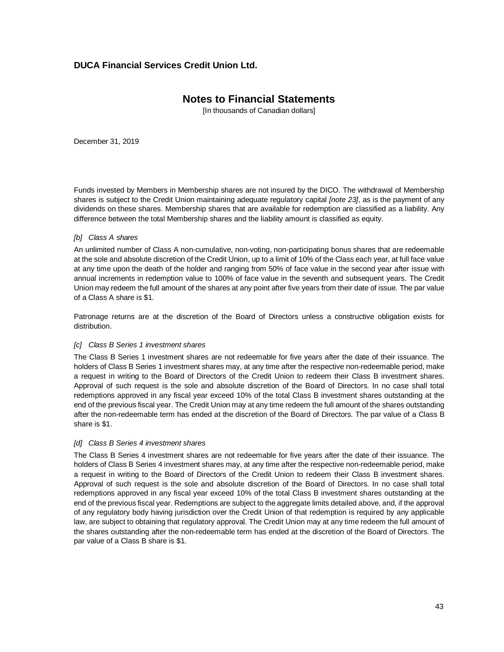## **Notes to Financial Statements**

[In thousands of Canadian dollars]

December 31, 2019

Funds invested by Members in Membership shares are not insured by the DICO. The withdrawal of Membership shares is subject to the Credit Union maintaining adequate regulatory capital *[note 23]*, as is the payment of any dividends on these shares. Membership shares that are available for redemption are classified as a liability. Any difference between the total Membership shares and the liability amount is classified as equity.

### *[b] Class A shares*

An unlimited number of Class A non-cumulative, non-voting, non-participating bonus shares that are redeemable at the sole and absolute discretion of the Credit Union, up to a limit of 10% of the Class each year, at full face value at any time upon the death of the holder and ranging from 50% of face value in the second year after issue with annual increments in redemption value to 100% of face value in the seventh and subsequent years. The Credit Union may redeem the full amount of the shares at any point after five years from their date of issue. The par value of a Class A share is \$1.

Patronage returns are at the discretion of the Board of Directors unless a constructive obligation exists for distribution.

### *[c] Class B Series 1 investment shares*

The Class B Series 1 investment shares are not redeemable for five years after the date of their issuance. The holders of Class B Series 1 investment shares may, at any time after the respective non-redeemable period, make a request in writing to the Board of Directors of the Credit Union to redeem their Class B investment shares. Approval of such request is the sole and absolute discretion of the Board of Directors. In no case shall total redemptions approved in any fiscal year exceed 10% of the total Class B investment shares outstanding at the end of the previous fiscal year. The Credit Union may at any time redeem the full amount of the shares outstanding after the non-redeemable term has ended at the discretion of the Board of Directors. The par value of a Class B share is \$1.

### *[d] Class B Series 4 investment shares*

The Class B Series 4 investment shares are not redeemable for five years after the date of their issuance. The holders of Class B Series 4 investment shares may, at any time after the respective non-redeemable period, make a request in writing to the Board of Directors of the Credit Union to redeem their Class B investment shares. Approval of such request is the sole and absolute discretion of the Board of Directors. In no case shall total redemptions approved in any fiscal year exceed 10% of the total Class B investment shares outstanding at the end of the previous fiscal year. Redemptions are subject to the aggregate limits detailed above, and, if the approval of any regulatory body having jurisdiction over the Credit Union of that redemption is required by any applicable law, are subject to obtaining that regulatory approval. The Credit Union may at any time redeem the full amount of the shares outstanding after the non-redeemable term has ended at the discretion of the Board of Directors. The par value of a Class B share is \$1.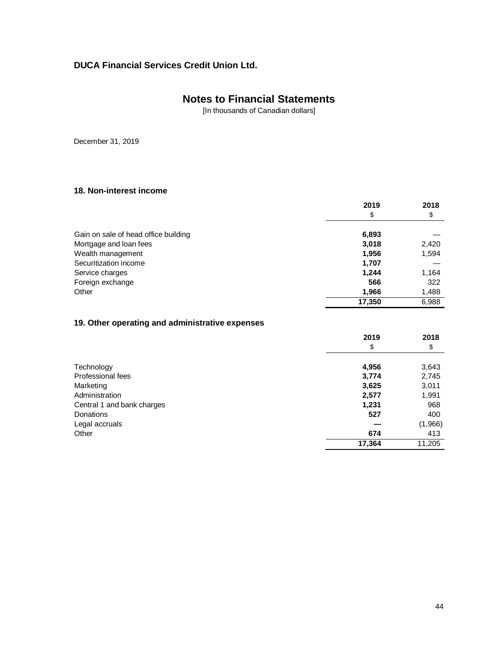## **Notes to Financial Statements**

[In thousands of Canadian dollars]

December 31, 2019

## **18. Non-interest income**

|                                      | 2019   | 2018  |
|--------------------------------------|--------|-------|
|                                      | \$     | \$    |
| Gain on sale of head office building | 6,893  |       |
| Mortgage and loan fees               | 3,018  | 2,420 |
| Wealth management                    | 1,956  | 1,594 |
| Securitization income                | 1,707  |       |
| Service charges                      | 1.244  | 1,164 |
| Foreign exchange                     | 566    | 322   |
| Other                                | 1,966  | 1,488 |
|                                      | 17.350 | 6,988 |

## **19. Other operating and administrative expenses**

|                            | 2019   | 2018    |
|----------------------------|--------|---------|
|                            | \$     | \$      |
|                            |        |         |
| Technology                 | 4,956  | 3,643   |
| Professional fees          | 3,774  | 2,745   |
| Marketing                  | 3,625  | 3,011   |
| Administration             | 2,577  | 1,991   |
| Central 1 and bank charges | 1,231  | 968     |
| Donations                  | 527    | 400     |
| Legal accruals             |        | (1,966) |
| Other                      | 674    | 413     |
|                            | 17,364 | 11,205  |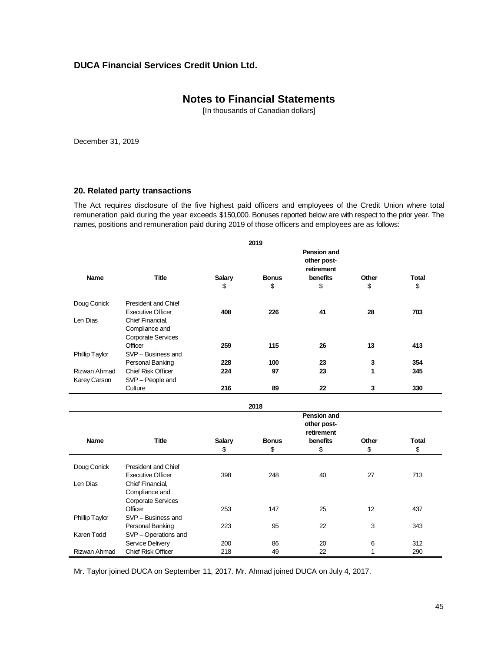## **Notes to Financial Statements**

[In thousands of Canadian dollars]

December 31, 2019

### **20. Related party transactions**

The Act requires disclosure of the five highest paid officers and employees of the Credit Union where total remuneration paid during the year exceeds \$150,000. Bonuses reported below are with respect to the prior year. The names, positions and remuneration paid during 2019 of those officers and employees are as follows:

|                     |                                          |               | 2019         |                            |              |              |  |  |  |
|---------------------|------------------------------------------|---------------|--------------|----------------------------|--------------|--------------|--|--|--|
|                     | Pension and<br>other post-<br>retirement |               |              |                            |              |              |  |  |  |
| Name                | <b>Title</b>                             | <b>Salary</b> | <b>Bonus</b> | benefits                   | Other        | <b>Total</b> |  |  |  |
|                     |                                          | \$            | \$           | \$                         | \$           | \$           |  |  |  |
| Doug Conick         | President and Chief                      |               |              |                            |              |              |  |  |  |
|                     | <b>Executive Officer</b>                 | 408           | 226          | 41                         | 28           | 703          |  |  |  |
| Len Dias            | Chief Financial,                         |               |              |                            |              |              |  |  |  |
|                     | Compliance and                           |               |              |                            |              |              |  |  |  |
|                     | <b>Corporate Services</b>                |               |              |                            |              |              |  |  |  |
|                     | Officer                                  | 259           | 115          | 26                         | 13           | 413          |  |  |  |
| Phillip Taylor      | SVP - Business and                       |               |              |                            |              |              |  |  |  |
|                     | Personal Banking                         | 228           | 100          | 23                         | $\mathbf{3}$ | 354          |  |  |  |
| <b>Rizwan Ahmad</b> | <b>Chief Risk Officer</b>                | 224           | 97           | 23                         | 1            | 345          |  |  |  |
| Karey Carson        | SVP - People and                         |               |              |                            |              |              |  |  |  |
|                     | Culture                                  | 216           | 89           | 22                         | 3            | 330          |  |  |  |
|                     |                                          |               |              |                            |              |              |  |  |  |
|                     |                                          |               | 2018         |                            |              |              |  |  |  |
|                     |                                          |               |              | Pension and<br>other post- |              |              |  |  |  |
|                     |                                          |               |              | retirement                 |              |              |  |  |  |
| Name                | <b>Title</b>                             | <b>Salary</b> | <b>Bonus</b> | benefits                   | Other        | Total        |  |  |  |
|                     |                                          | \$            | \$           | \$                         | \$           | \$           |  |  |  |
| Doug Conick         | <b>President and Chief</b>               |               |              |                            |              |              |  |  |  |
|                     | <b>Executive Officer</b>                 | 398           | 248          | 40                         | 27           | 713          |  |  |  |
| Len Dias            | Chief Financial,                         |               |              |                            |              |              |  |  |  |
|                     | Compliance and                           |               |              |                            |              |              |  |  |  |
|                     | <b>Corporate Services</b>                |               |              |                            |              |              |  |  |  |
|                     | Officer                                  | 253           | 147          | 25                         | 12           | 437          |  |  |  |
| Phillip Taylor      | SVP - Business and                       |               |              |                            |              |              |  |  |  |
|                     | Personal Banking                         | 223           | 95           | 22                         | 3            | 343          |  |  |  |
| Karen Todd          | SVP - Operations and                     |               |              |                            |              |              |  |  |  |
|                     | Service Delivery                         | 200           | 86           | 20                         | 6            | 312          |  |  |  |
| <b>Rizwan Ahmad</b> | <b>Chief Risk Officer</b>                | 218           | 49           | 22                         | 1            | 290          |  |  |  |

Mr. Taylor joined DUCA on September 11, 2017. Mr. Ahmad joined DUCA on July 4, 2017.

Rizwan Ahmad Chief Risk Officer 218 49 22 1 290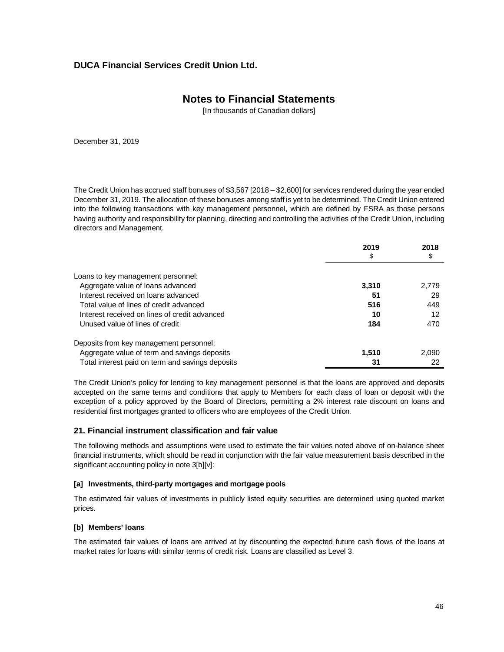## **Notes to Financial Statements**

[In thousands of Canadian dollars]

December 31, 2019

The Credit Union has accrued staff bonuses of \$3,567 [2018 – \$2,600] for services rendered during the year ended December 31, 2019. The allocation of these bonuses among staff is yet to be determined. The Credit Union entered into the following transactions with key management personnel, which are defined by FSRA as those persons having authority and responsibility for planning, directing and controlling the activities of the Credit Union, including directors and Management.

|                                                  | 2019  | 2018  |
|--------------------------------------------------|-------|-------|
|                                                  | \$    | \$    |
|                                                  |       |       |
| Loans to key management personnel:               |       |       |
| Aggregate value of loans advanced                | 3,310 | 2,779 |
| Interest received on loans advanced              | 51    | 29    |
| Total value of lines of credit advanced          | 516   | 449   |
| Interest received on lines of credit advanced    | 10    | 12    |
| Unused value of lines of credit                  | 184   | 470   |
| Deposits from key management personnel:          |       |       |
| Aggregate value of term and savings deposits     | 1,510 | 2,090 |
| Total interest paid on term and savings deposits | 31    | 22    |

The Credit Union's policy for lending to key management personnel is that the loans are approved and deposits accepted on the same terms and conditions that apply to Members for each class of loan or deposit with the exception of a policy approved by the Board of Directors, permitting a 2% interest rate discount on loans and residential first mortgages granted to officers who are employees of the Credit Union.

### **21. Financial instrument classification and fair value**

The following methods and assumptions were used to estimate the fair values noted above of on-balance sheet financial instruments, which should be read in conjunction with the fair value measurement basis described in the significant accounting policy in note 3[b][v]:

### **[a] Investments, third-party mortgages and mortgage pools**

The estimated fair values of investments in publicly listed equity securities are determined using quoted market prices.

### **[b] Members' loans**

The estimated fair values of loans are arrived at by discounting the expected future cash flows of the loans at market rates for loans with similar terms of credit risk. Loans are classified as Level 3.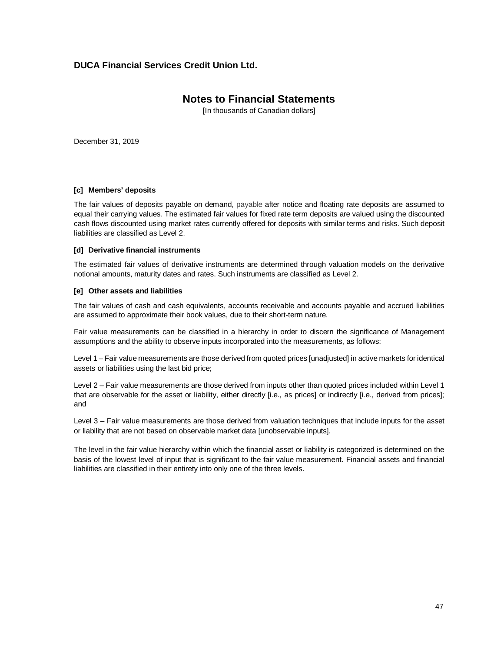## **Notes to Financial Statements**

[In thousands of Canadian dollars]

December 31, 2019

### **[c] Members' deposits**

The fair values of deposits payable on demand, payable after notice and floating rate deposits are assumed to equal their carrying values. The estimated fair values for fixed rate term deposits are valued using the discounted cash flows discounted using market rates currently offered for deposits with similar terms and risks. Such deposit liabilities are classified as Level 2.

### **[d] Derivative financial instruments**

The estimated fair values of derivative instruments are determined through valuation models on the derivative notional amounts, maturity dates and rates. Such instruments are classified as Level 2.

### **[e] Other assets and liabilities**

The fair values of cash and cash equivalents, accounts receivable and accounts payable and accrued liabilities are assumed to approximate their book values, due to their short-term nature.

Fair value measurements can be classified in a hierarchy in order to discern the significance of Management assumptions and the ability to observe inputs incorporated into the measurements, as follows:

Level 1 – Fair value measurements are those derived from quoted prices [unadjusted] in active markets for identical assets or liabilities using the last bid price;

Level 2 – Fair value measurements are those derived from inputs other than quoted prices included within Level 1 that are observable for the asset or liability, either directly [i.e., as prices] or indirectly [i.e., derived from prices]; and

Level 3 – Fair value measurements are those derived from valuation techniques that include inputs for the asset or liability that are not based on observable market data [unobservable inputs].

The level in the fair value hierarchy within which the financial asset or liability is categorized is determined on the basis of the lowest level of input that is significant to the fair value measurement. Financial assets and financial liabilities are classified in their entirety into only one of the three levels.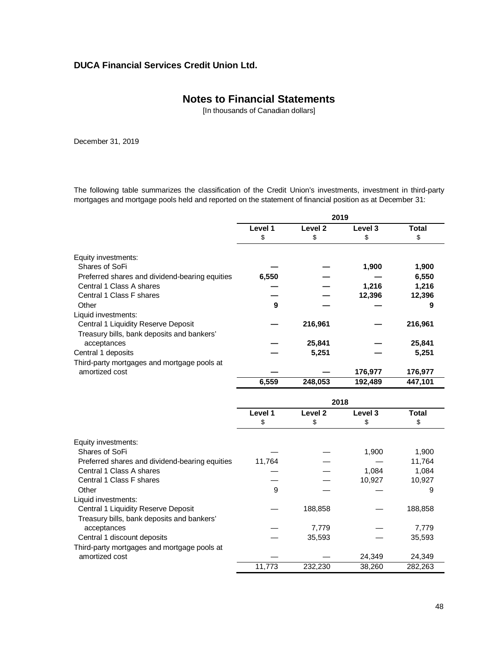## **Notes to Financial Statements**

[In thousands of Canadian dollars]

December 31, 2019

The following table summarizes the classification of the Credit Union's investments, investment in third-party mortgages and mortgage pools held and reported on the statement of financial position as at December 31:

|                                                |         | 2019               |         |              |
|------------------------------------------------|---------|--------------------|---------|--------------|
|                                                | Level 1 | Level <sub>2</sub> | Level 3 | <b>Total</b> |
|                                                | \$      | \$                 | \$      | \$           |
| Equity investments:                            |         |                    |         |              |
| Shares of SoFi                                 |         |                    | 1,900   | 1,900        |
| Preferred shares and dividend-bearing equities | 6,550   |                    |         | 6,550        |
| Central 1 Class A shares                       |         |                    | 1,216   | 1,216        |
| Central 1 Class F shares                       |         |                    | 12,396  | 12,396       |
| Other                                          | 9       |                    |         | 9            |
| Liquid investments:                            |         |                    |         |              |
| Central 1 Liquidity Reserve Deposit            |         | 216,961            |         | 216,961      |
| Treasury bills, bank deposits and bankers'     |         |                    |         |              |
| acceptances                                    |         | 25,841             |         | 25,841       |
| Central 1 deposits                             |         | 5,251              |         | 5,251        |
| Third-party mortgages and mortgage pools at    |         |                    |         |              |
| amortized cost                                 |         |                    | 176,977 | 176,977      |
|                                                | 6,559   | 248,053            | 192,489 | 447,101      |
|                                                |         | 2018               |         |              |
|                                                | Level 1 | Level <sub>2</sub> | Level 3 | <b>Total</b> |
|                                                | \$      | \$                 | \$      | \$           |
| Equity investments:                            |         |                    |         |              |

| EQUILY INVESTMENTS.                            |        |         |        |         |  |
|------------------------------------------------|--------|---------|--------|---------|--|
| Shares of SoFi                                 |        |         | 1,900  | 1,900   |  |
| Preferred shares and dividend-bearing equities | 11.764 |         |        | 11.764  |  |
| Central 1 Class A shares                       |        |         | 1.084  | 1.084   |  |
| Central 1 Class F shares                       |        |         | 10.927 | 10.927  |  |
| Other                                          | 9      |         |        | 9       |  |
| Liquid investments:                            |        |         |        |         |  |
| Central 1 Liquidity Reserve Deposit            |        | 188,858 |        | 188,858 |  |
| Treasury bills, bank deposits and bankers'     |        |         |        |         |  |
| acceptances                                    |        | 7.779   |        | 7.779   |  |
| Central 1 discount deposits                    |        | 35,593  |        | 35,593  |  |
| Third-party mortgages and mortgage pools at    |        |         |        |         |  |
| amortized cost                                 |        |         | 24.349 | 24.349  |  |
|                                                | 11.773 | 232.230 | 38.260 | 282.263 |  |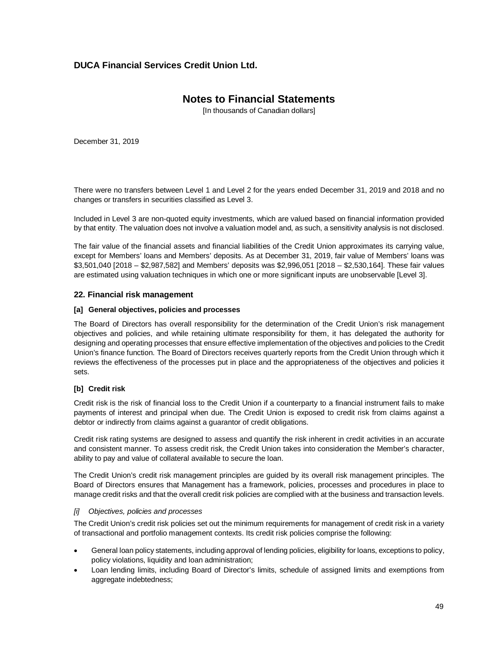## **Notes to Financial Statements**

[In thousands of Canadian dollars]

December 31, 2019

There were no transfers between Level 1 and Level 2 for the years ended December 31, 2019 and 2018 and no changes or transfers in securities classified as Level 3.

Included in Level 3 are non-quoted equity investments, which are valued based on financial information provided by that entity. The valuation does not involve a valuation model and, as such, a sensitivity analysis is not disclosed.

The fair value of the financial assets and financial liabilities of the Credit Union approximates its carrying value, except for Members' loans and Members' deposits. As at December 31, 2019, fair value of Members' loans was \$3,501,040 [2018 – \$2,987,582] and Members' deposits was \$2,996,051 [2018 – \$2,530,164]. These fair values are estimated using valuation techniques in which one or more significant inputs are unobservable [Level 3].

### **22. Financial risk management**

### **[a] General objectives, policies and processes**

The Board of Directors has overall responsibility for the determination of the Credit Union's risk management objectives and policies, and while retaining ultimate responsibility for them, it has delegated the authority for designing and operating processes that ensure effective implementation of the objectives and policies to the Credit Union's finance function. The Board of Directors receives quarterly reports from the Credit Union through which it reviews the effectiveness of the processes put in place and the appropriateness of the objectives and policies it sets.

### **[b] Credit risk**

Credit risk is the risk of financial loss to the Credit Union if a counterparty to a financial instrument fails to make payments of interest and principal when due. The Credit Union is exposed to credit risk from claims against a debtor or indirectly from claims against a guarantor of credit obligations.

Credit risk rating systems are designed to assess and quantify the risk inherent in credit activities in an accurate and consistent manner. To assess credit risk, the Credit Union takes into consideration the Member's character, ability to pay and value of collateral available to secure the loan.

The Credit Union's credit risk management principles are guided by its overall risk management principles. The Board of Directors ensures that Management has a framework, policies, processes and procedures in place to manage credit risks and that the overall credit risk policies are complied with at the business and transaction levels.

### *[i] Objectives, policies and processes*

The Credit Union's credit risk policies set out the minimum requirements for management of credit risk in a variety of transactional and portfolio management contexts. Its credit risk policies comprise the following:

- General loan policy statements, including approval of lending policies, eligibility for loans, exceptions to policy, policy violations, liquidity and loan administration;
- Loan lending limits, including Board of Director's limits, schedule of assigned limits and exemptions from aggregate indebtedness;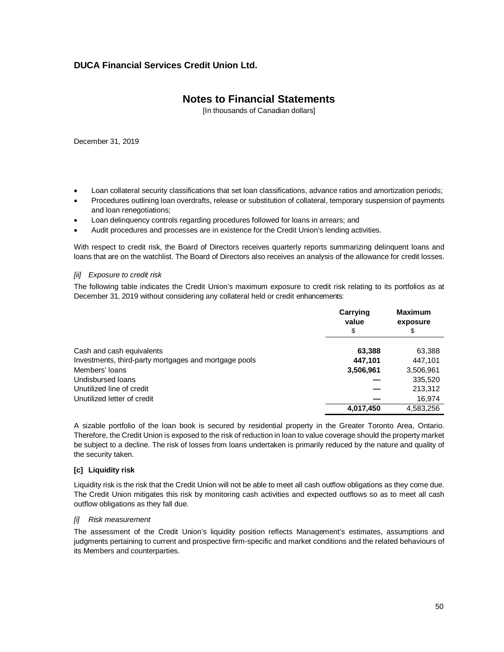## **Notes to Financial Statements**

[In thousands of Canadian dollars]

December 31, 2019

- Loan collateral security classifications that set loan classifications, advance ratios and amortization periods;
- · Procedures outlining loan overdrafts, release or substitution of collateral, temporary suspension of payments and loan renegotiations;
- Loan delinquency controls regarding procedures followed for loans in arrears; and
- · Audit procedures and processes are in existence for the Credit Union's lending activities.

With respect to credit risk, the Board of Directors receives quarterly reports summarizing delinquent loans and loans that are on the watchlist. The Board of Directors also receives an analysis of the allowance for credit losses.

### *[ii] Exposure to credit risk*

The following table indicates the Credit Union's maximum exposure to credit risk relating to its portfolios as at December 31, 2019 without considering any collateral held or credit enhancements:

|                                                       | Carrying<br>value<br>\$ | <b>Maximum</b><br>exposure<br>\$ |
|-------------------------------------------------------|-------------------------|----------------------------------|
| Cash and cash equivalents                             | 63,388                  | 63,388                           |
| Investments, third-party mortgages and mortgage pools | 447.101                 | 447.101                          |
| Members' loans                                        | 3,506,961               | 3,506,961                        |
| Undisbursed loans                                     |                         | 335,520                          |
| Unutilized line of credit                             |                         | 213,312                          |
| Unutilized letter of credit                           |                         | 16.974                           |
|                                                       | 4.017.450               | 4.583.256                        |

A sizable portfolio of the loan book is secured by residential property in the Greater Toronto Area, Ontario. Therefore, the Credit Union is exposed to the risk of reduction in loan to value coverage should the property market be subject to a decline. The risk of losses from loans undertaken is primarily reduced by the nature and quality of the security taken.

### **[c] Liquidity risk**

Liquidity risk is the risk that the Credit Union will not be able to meet all cash outflow obligations as they come due. The Credit Union mitigates this risk by monitoring cash activities and expected outflows so as to meet all cash outflow obligations as they fall due.

### *[i] Risk measurement*

The assessment of the Credit Union's liquidity position reflects Management's estimates, assumptions and judgments pertaining to current and prospective firm-specific and market conditions and the related behaviours of its Members and counterparties.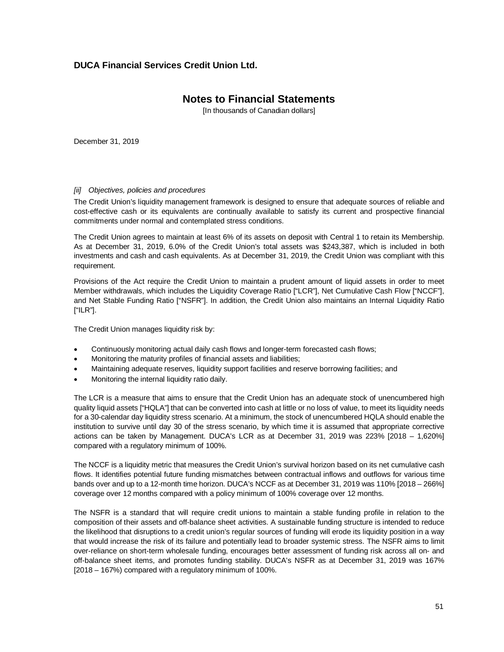## **Notes to Financial Statements**

[In thousands of Canadian dollars]

December 31, 2019

### *[ii] Objectives, policies and procedures*

The Credit Union's liquidity management framework is designed to ensure that adequate sources of reliable and cost-effective cash or its equivalents are continually available to satisfy its current and prospective financial commitments under normal and contemplated stress conditions.

The Credit Union agrees to maintain at least 6% of its assets on deposit with Central 1 to retain its Membership. As at December 31, 2019, 6.0% of the Credit Union's total assets was \$243,387, which is included in both investments and cash and cash equivalents. As at December 31, 2019, the Credit Union was compliant with this requirement.

Provisions of the Act require the Credit Union to maintain a prudent amount of liquid assets in order to meet Member withdrawals, which includes the Liquidity Coverage Ratio ["LCR"], Net Cumulative Cash Flow ["NCCF"], and Net Stable Funding Ratio ["NSFR"]. In addition, the Credit Union also maintains an Internal Liquidity Ratio ["ILR"].

The Credit Union manages liquidity risk by:

- · Continuously monitoring actual daily cash flows and longer-term forecasted cash flows;
- Monitoring the maturity profiles of financial assets and liabilities;
- · Maintaining adequate reserves, liquidity support facilities and reserve borrowing facilities; and
- Monitoring the internal liquidity ratio daily.

The LCR is a measure that aims to ensure that the Credit Union has an adequate stock of unencumbered high quality liquid assets ["HQLA"] that can be converted into cash at little or no loss of value, to meet its liquidity needs for a 30-calendar day liquidity stress scenario. At a minimum, the stock of unencumbered HQLA should enable the institution to survive until day 30 of the stress scenario, by which time it is assumed that appropriate corrective actions can be taken by Management. DUCA's LCR as at December 31, 2019 was 223% [2018 – 1,620%] compared with a regulatory minimum of 100%.

The NCCF is a liquidity metric that measures the Credit Union's survival horizon based on its net cumulative cash flows. It identifies potential future funding mismatches between contractual inflows and outflows for various time bands over and up to a 12-month time horizon. DUCA's NCCF as at December 31, 2019 was 110% [2018 – 266%] coverage over 12 months compared with a policy minimum of 100% coverage over 12 months.

The NSFR is a standard that will require credit unions to maintain a stable funding profile in relation to the composition of their assets and off-balance sheet activities. A sustainable funding structure is intended to reduce the likelihood that disruptions to a credit union's regular sources of funding will erode its liquidity position in a way that would increase the risk of its failure and potentially lead to broader systemic stress. The NSFR aims to limit over-reliance on short-term wholesale funding, encourages better assessment of funding risk across all on- and off-balance sheet items, and promotes funding stability. DUCA's NSFR as at December 31, 2019 was 167% [2018 – 167%) compared with a regulatory minimum of 100%.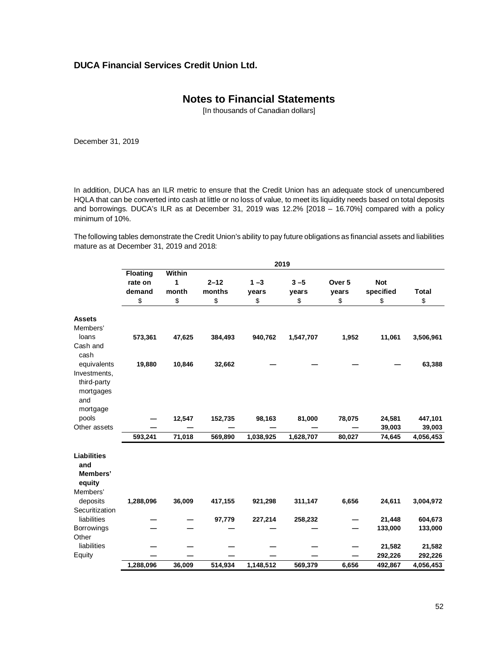## **Notes to Financial Statements**

[In thousands of Canadian dollars]

December 31, 2019

In addition, DUCA has an ILR metric to ensure that the Credit Union has an adequate stock of unencumbered HQLA that can be converted into cash at little or no loss of value, to meet its liquidity needs based on total deposits and borrowings. DUCA's ILR as at December 31, 2019 was 12.2% [2018 – 16.70%] compared with a policy minimum of 10%.

The following tables demonstrate the Credit Union's ability to pay future obligations as financial assets and liabilities mature as at December 31, 2019 and 2018:

|                                                             |                                            |                            |                          |                        | 2019                   |                                  |                               |                    |
|-------------------------------------------------------------|--------------------------------------------|----------------------------|--------------------------|------------------------|------------------------|----------------------------------|-------------------------------|--------------------|
|                                                             | <b>Floating</b><br>rate on<br>demand<br>\$ | Within<br>1<br>month<br>\$ | $2 - 12$<br>months<br>\$ | $1 - 3$<br>years<br>\$ | $3 - 5$<br>years<br>\$ | Over <sub>5</sub><br>years<br>\$ | <b>Not</b><br>specified<br>\$ | <b>Total</b><br>\$ |
| <b>Assets</b>                                               |                                            |                            |                          |                        |                        |                                  |                               |                    |
| Members'                                                    |                                            |                            |                          |                        |                        |                                  |                               |                    |
| loans                                                       | 573,361                                    | 47,625                     | 384,493                  | 940,762                | 1,547,707              | 1,952                            | 11,061                        | 3,506,961          |
| Cash and<br>cash                                            |                                            |                            |                          |                        |                        |                                  |                               |                    |
| equivalents                                                 | 19,880                                     | 10,846                     | 32,662                   |                        |                        |                                  |                               | 63,388             |
| Investments,<br>third-party<br>mortgages<br>and             |                                            |                            |                          |                        |                        |                                  |                               |                    |
| mortgage                                                    |                                            |                            |                          |                        |                        |                                  |                               |                    |
| pools                                                       |                                            | 12,547                     | 152,735                  | 98,163                 | 81,000                 | 78,075                           | 24,581                        | 447,101            |
| Other assets                                                |                                            |                            |                          |                        |                        |                                  | 39,003                        | 39,003             |
|                                                             | 593,241                                    | 71,018                     | 569,890                  | 1,038,925              | 1,628,707              | 80,027                           | 74,645                        | 4,056,453          |
| <b>Liabilities</b><br>and<br>Members'<br>equity<br>Members' |                                            |                            |                          |                        |                        |                                  |                               |                    |
| deposits                                                    | 1,288,096                                  | 36,009                     | 417,155                  | 921,298                | 311,147                | 6,656                            | 24,611                        | 3,004,972          |
| Securitization                                              |                                            |                            |                          |                        |                        |                                  |                               |                    |
| liabilities                                                 |                                            |                            | 97,779                   | 227,214                | 258,232                |                                  | 21,448                        | 604,673            |
| Borrowings                                                  |                                            |                            |                          |                        |                        |                                  | 133,000                       | 133,000            |
| Other                                                       |                                            |                            |                          |                        |                        |                                  |                               |                    |
| liabilities                                                 |                                            |                            |                          |                        |                        |                                  | 21,582                        | 21,582             |
| Equity                                                      |                                            |                            |                          |                        |                        |                                  | 292,226                       | 292,226            |
|                                                             | 1,288,096                                  | 36,009                     | 514,934                  | 1,148,512              | 569,379                | 6,656                            | 492,867                       | 4,056,453          |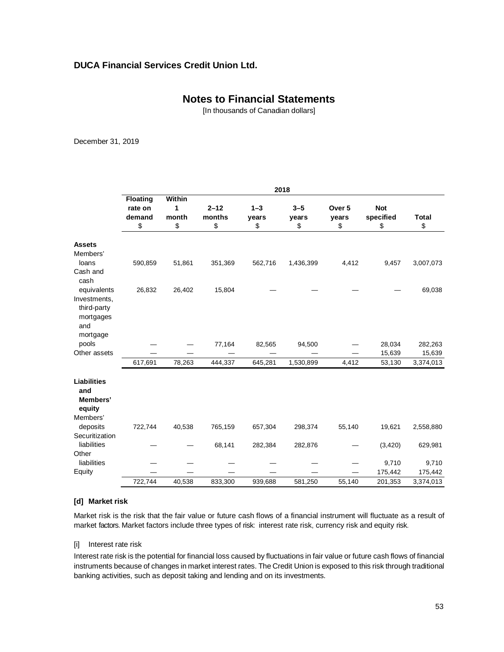## **Notes to Financial Statements**

[In thousands of Canadian dollars]

December 31, 2019

|                                                                            |                            |                    |              |             | 2018        |                   |                 |                    |
|----------------------------------------------------------------------------|----------------------------|--------------------|--------------|-------------|-------------|-------------------|-----------------|--------------------|
|                                                                            | <b>Floating</b><br>rate on | <b>Within</b><br>1 | $2 - 12$     | $1 - 3$     | $3 - 5$     | Over <sub>5</sub> | <b>Not</b>      |                    |
|                                                                            | demand<br>\$               | month<br>\$        | months<br>\$ | years<br>\$ | years<br>\$ | years<br>\$       | specified<br>\$ | <b>Total</b><br>\$ |
| <b>Assets</b><br>Members'                                                  |                            |                    |              |             |             |                   |                 |                    |
| loans<br>Cash and<br>cash                                                  | 590,859                    | 51,861             | 351,369      | 562,716     | 1,436,399   | 4,412             | 9,457           | 3,007,073          |
| equivalents<br>Investments,<br>third-party<br>mortgages<br>and<br>mortgage | 26,832                     | 26,402             | 15,804       |             |             |                   |                 | 69,038             |
| pools                                                                      |                            |                    | 77,164       | 82,565      | 94,500      |                   | 28,034          | 282,263            |
| Other assets                                                               |                            |                    |              |             |             |                   | 15,639          | 15,639             |
|                                                                            | 617,691                    | 78,263             | 444,337      | 645,281     | 1,530,899   | 4,412             | 53,130          | 3,374,013          |
| <b>Liabilities</b><br>and<br>Members'<br>equity<br>Members'                |                            |                    |              |             |             |                   |                 |                    |
| deposits                                                                   | 722,744                    | 40,538             | 765,159      | 657,304     | 298,374     | 55,140            | 19,621          | 2,558,880          |
| Securitization<br>liabilities                                              |                            |                    | 68,141       | 282,384     | 282,876     |                   | (3, 420)        | 629,981            |
| Other<br>liabilities                                                       |                            |                    |              |             |             |                   | 9,710           | 9,710              |
| Equity                                                                     |                            |                    |              |             |             |                   | 175,442         | 175,442            |
|                                                                            | 722,744                    | 40,538             | 833,300      | 939,688     | 581,250     | 55,140            | 201,353         | 3,374,013          |

#### **[d] Market risk**

Market risk is the risk that the fair value or future cash flows of a financial instrument will fluctuate as a result of market factors. Market factors include three types of risk: interest rate risk, currency risk and equity risk.

### [i] Interest rate risk

Interest rate risk is the potential for financial loss caused by fluctuations in fair value or future cash flows of financial instruments because of changes in market interest rates. The Credit Union is exposed to this risk through traditional banking activities, such as deposit taking and lending and on its investments.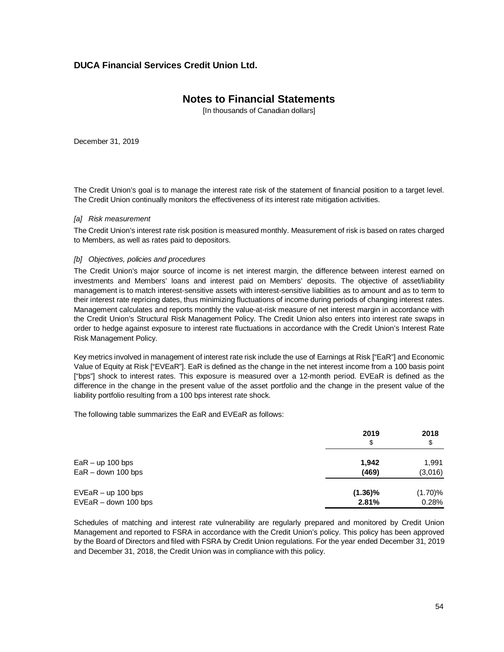## **Notes to Financial Statements**

[In thousands of Canadian dollars]

December 31, 2019

The Credit Union's goal is to manage the interest rate risk of the statement of financial position to a target level. The Credit Union continually monitors the effectiveness of its interest rate mitigation activities.

### *[a] Risk measurement*

The Credit Union's interest rate risk position is measured monthly. Measurement of risk is based on rates charged to Members, as well as rates paid to depositors.

### *[b] Objectives, policies and procedures*

The Credit Union's major source of income is net interest margin, the difference between interest earned on investments and Members' loans and interest paid on Members' deposits. The objective of asset/liability management is to match interest-sensitive assets with interest-sensitive liabilities as to amount and as to term to their interest rate repricing dates, thus minimizing fluctuations of income during periods of changing interest rates. Management calculates and reports monthly the value-at-risk measure of net interest margin in accordance with the Credit Union's Structural Risk Management Policy. The Credit Union also enters into interest rate swaps in order to hedge against exposure to interest rate fluctuations in accordance with the Credit Union's Interest Rate Risk Management Policy.

Key metrics involved in management of interest rate risk include the use of Earnings at Risk ["EaR"] and Economic Value of Equity at Risk ["EVEaR"]. EaR is defined as the change in the net interest income from a 100 basis point ["bps"] shock to interest rates. This exposure is measured over a 12-month period. EVEaR is defined as the difference in the change in the present value of the asset portfolio and the change in the present value of the liability portfolio resulting from a 100 bps interest rate shock.

The following table summarizes the EaR and EVEaR as follows:

|                      | 2019<br>\$ | 2018<br>\$ |
|----------------------|------------|------------|
| $EaR - up$ 100 bps   | 1.942      | 1,991      |
| $EaR - down$ 100 bps | (469)      | (3,016)    |
| $EVEaR - up 100 bps$ | $(1.36)\%$ | $(1.70)\%$ |
| EVEaR - down 100 bps | 2.81%      | 0.28%      |

Schedules of matching and interest rate vulnerability are regularly prepared and monitored by Credit Union Management and reported to FSRA in accordance with the Credit Union's policy. This policy has been approved by the Board of Directors and filed with FSRA by Credit Union regulations. For the year ended December 31, 2019 and December 31, 2018, the Credit Union was in compliance with this policy.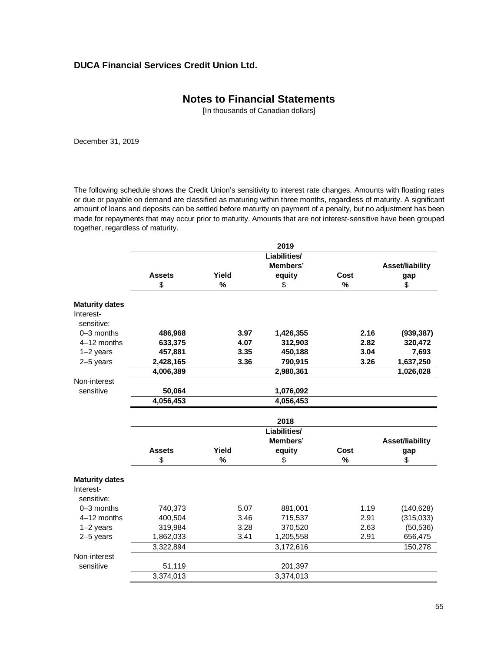## **Notes to Financial Statements**

[In thousands of Canadian dollars]

December 31, 2019

The following schedule shows the Credit Union's sensitivity to interest rate changes. Amounts with floating rates or due or payable on demand are classified as maturing within three months, regardless of maturity. A significant amount of loans and deposits can be settled before maturity on payment of a penalty, but no adjustment has been made for repayments that may occur prior to maturity. Amounts that are not interest-sensitive have been grouped together, regardless of maturity.

|                       |               |       | 2019         |      |                 |
|-----------------------|---------------|-------|--------------|------|-----------------|
|                       |               |       | Liabilities/ |      |                 |
|                       |               |       | Members'     |      | Asset/liability |
|                       | <b>Assets</b> | Yield | equity       | Cost | gap             |
|                       | \$            | %     | \$           | %    | \$              |
| <b>Maturity dates</b> |               |       |              |      |                 |
| Interest-             |               |       |              |      |                 |
| sensitive:            |               |       |              |      |                 |
| 0-3 months            | 486,968       | 3.97  | 1,426,355    | 2.16 | (939, 387)      |
| 4-12 months           | 633,375       | 4.07  | 312,903      | 2.82 | 320,472         |
| $1-2$ years           | 457,881       | 3.35  | 450,188      | 3.04 | 7,693           |
| $2-5$ years           | 2,428,165     | 3.36  | 790,915      | 3.26 | 1,637,250       |
|                       | 4,006,389     |       | 2,980,361    |      | 1,026,028       |
| Non-interest          |               |       |              |      |                 |
| sensitive             | 50,064        |       | 1,076,092    |      |                 |
|                       | 4,056,453     |       | 4,056,453    |      |                 |
|                       |               |       |              |      |                 |
|                       |               |       | 2018         |      |                 |
|                       |               |       | Liabilities/ |      |                 |
|                       |               |       | Members'     |      | Asset/liability |
|                       | <b>Assets</b> | Yield | equity       | Cost | gap             |
|                       | \$            | %     | \$           | %    | \$              |
| <b>Maturity dates</b> |               |       |              |      |                 |
| Interest-             |               |       |              |      |                 |
| sensitive:            |               |       |              |      |                 |
| 0-3 months            | 740,373       | 5.07  | 881,001      | 1.19 | (140, 628)      |
| 4-12 months           | 400,504       | 3.46  | 715,537      | 2.91 | (315,033)       |
| $1-2$ years           | 319,984       | 3.28  | 370,520      | 2.63 | (50, 536)       |
| $2-5$ years           | 1,862,033     | 3.41  | 1,205,558    | 2.91 | 656,475         |
|                       | 3,322,894     |       | 3,172,616    |      | 150,278         |
| Non-interest          |               |       |              |      |                 |
| sensitive             |               |       | 201,397      |      |                 |
|                       | 51,119        |       |              |      |                 |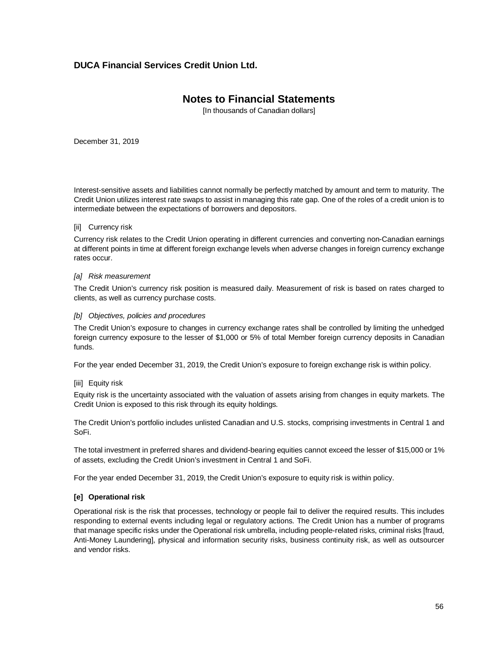## **Notes to Financial Statements**

[In thousands of Canadian dollars]

December 31, 2019

Interest-sensitive assets and liabilities cannot normally be perfectly matched by amount and term to maturity. The Credit Union utilizes interest rate swaps to assist in managing this rate gap. One of the roles of a credit union is to intermediate between the expectations of borrowers and depositors.

### [ii] Currency risk

Currency risk relates to the Credit Union operating in different currencies and converting non-Canadian earnings at different points in time at different foreign exchange levels when adverse changes in foreign currency exchange rates occur.

### *[a] Risk measurement*

The Credit Union's currency risk position is measured daily. Measurement of risk is based on rates charged to clients, as well as currency purchase costs.

### *[b] Objectives, policies and procedures*

The Credit Union's exposure to changes in currency exchange rates shall be controlled by limiting the unhedged foreign currency exposure to the lesser of \$1,000 or 5% of total Member foreign currency deposits in Canadian funds.

For the year ended December 31, 2019, the Credit Union's exposure to foreign exchange risk is within policy.

### [iii] Equity risk

Equity risk is the uncertainty associated with the valuation of assets arising from changes in equity markets. The Credit Union is exposed to this risk through its equity holdings.

The Credit Union's portfolio includes unlisted Canadian and U.S. stocks, comprising investments in Central 1 and SoFi.

The total investment in preferred shares and dividend-bearing equities cannot exceed the lesser of \$15,000 or 1% of assets, excluding the Credit Union's investment in Central 1 and SoFi.

For the year ended December 31, 2019, the Credit Union's exposure to equity risk is within policy.

### **[e] Operational risk**

Operational risk is the risk that processes, technology or people fail to deliver the required results. This includes responding to external events including legal or regulatory actions. The Credit Union has a number of programs that manage specific risks under the Operational risk umbrella, including people-related risks, criminal risks [fraud, Anti-Money Laundering], physical and information security risks, business continuity risk, as well as outsourcer and vendor risks.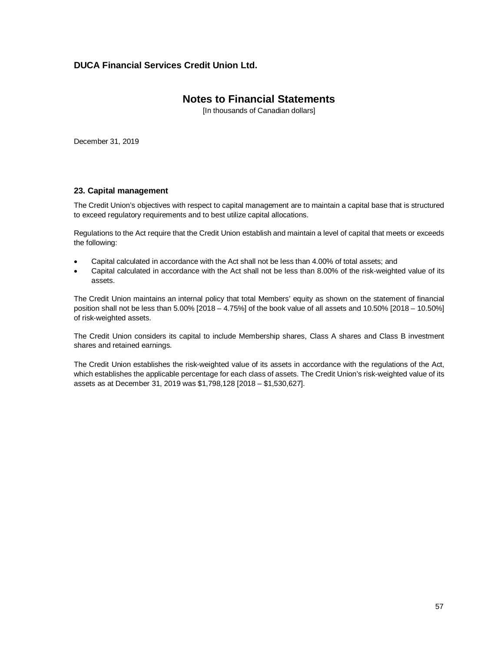## **Notes to Financial Statements**

[In thousands of Canadian dollars]

December 31, 2019

### **23. Capital management**

The Credit Union's objectives with respect to capital management are to maintain a capital base that is structured to exceed regulatory requirements and to best utilize capital allocations.

Regulations to the Act require that the Credit Union establish and maintain a level of capital that meets or exceeds the following:

- · Capital calculated in accordance with the Act shall not be less than 4.00% of total assets; and
- Capital calculated in accordance with the Act shall not be less than 8.00% of the risk-weighted value of its assets.

The Credit Union maintains an internal policy that total Members' equity as shown on the statement of financial position shall not be less than 5.00% [2018 – 4.75%] of the book value of all assets and 10.50% [2018 – 10.50%] of risk-weighted assets.

The Credit Union considers its capital to include Membership shares, Class A shares and Class B investment shares and retained earnings.

The Credit Union establishes the risk-weighted value of its assets in accordance with the regulations of the Act, which establishes the applicable percentage for each class of assets. The Credit Union's risk-weighted value of its assets as at December 31, 2019 was \$1,798,128 [2018 – \$1,530,627].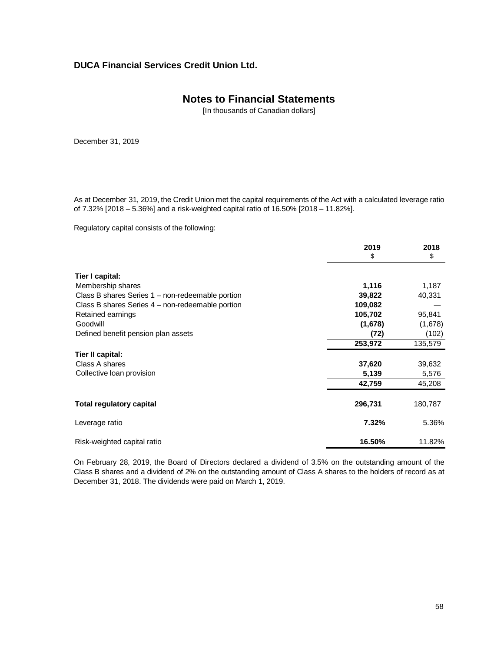## **Notes to Financial Statements**

[In thousands of Canadian dollars]

December 31, 2019

As at December 31, 2019, the Credit Union met the capital requirements of the Act with a calculated leverage ratio of 7.32% [2018 – 5.36%] and a risk-weighted capital ratio of 16.50% [2018 – 11.82%].

Regulatory capital consists of the following:

|                                                    | 2019    | 2018    |
|----------------------------------------------------|---------|---------|
|                                                    | \$      | \$      |
| Tier I capital:                                    |         |         |
| Membership shares                                  | 1,116   | 1,187   |
| Class B shares Series $1 -$ non-redeemable portion | 39,822  | 40,331  |
| Class B shares Series 4 - non-redeemable portion   | 109,082 |         |
| Retained earnings                                  | 105,702 | 95,841  |
| Goodwill                                           | (1,678) | (1,678) |
| Defined benefit pension plan assets                | (72)    | (102)   |
|                                                    | 253,972 | 135,579 |
| Tier II capital:                                   |         |         |
| Class A shares                                     | 37,620  | 39,632  |
| Collective loan provision                          | 5,139   | 5,576   |
|                                                    | 42,759  | 45,208  |
| <b>Total regulatory capital</b>                    | 296,731 | 180,787 |
| Leverage ratio                                     | 7.32%   | 5.36%   |
| Risk-weighted capital ratio                        | 16.50%  | 11.82%  |

On February 28, 2019, the Board of Directors declared a dividend of 3.5% on the outstanding amount of the Class B shares and a dividend of 2% on the outstanding amount of Class A shares to the holders of record as at December 31, 2018. The dividends were paid on March 1, 2019.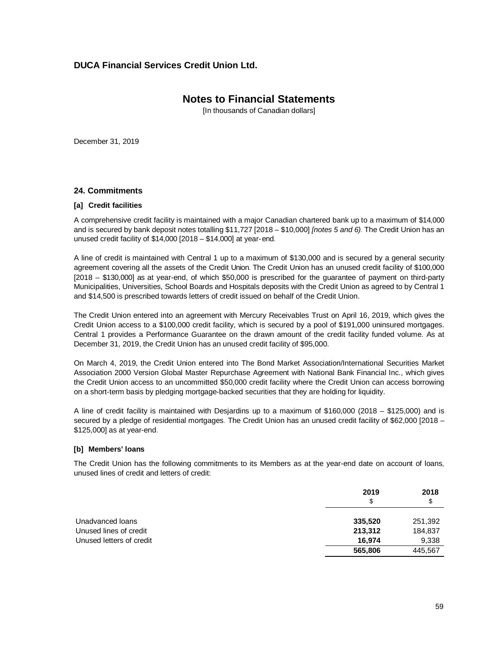## **Notes to Financial Statements**

[In thousands of Canadian dollars]

December 31, 2019

### **24. Commitments**

### **[a] Credit facilities**

A comprehensive credit facility is maintained with a major Canadian chartered bank up to a maximum of \$14,000 and is secured by bank deposit notes totalling \$11,727 [2018 – \$10,000] *[notes 5 and 6).* The Credit Union has an unused credit facility of \$14,000 [2018 – \$14,000] at year-end.

A line of credit is maintained with Central 1 up to a maximum of \$130,000 and is secured by a general security agreement covering all the assets of the Credit Union. The Credit Union has an unused credit facility of \$100,000 [2018 – \$130,000] as at year-end, of which \$50,000 is prescribed for the guarantee of payment on third-party Municipalities, Universities, School Boards and Hospitals deposits with the Credit Union as agreed to by Central 1 and \$14,500 is prescribed towards letters of credit issued on behalf of the Credit Union.

The Credit Union entered into an agreement with Mercury Receivables Trust on April 16, 2019, which gives the Credit Union access to a \$100,000 credit facility, which is secured by a pool of \$191,000 uninsured mortgages. Central 1 provides a Performance Guarantee on the drawn amount of the credit facility funded volume. As at December 31, 2019, the Credit Union has an unused credit facility of \$95,000.

On March 4, 2019, the Credit Union entered into The Bond Market Association/International Securities Market Association 2000 Version Global Master Repurchase Agreement with National Bank Financial Inc., which gives the Credit Union access to an uncommitted \$50,000 credit facility where the Credit Union can access borrowing on a short-term basis by pledging mortgage-backed securities that they are holding for liquidity.

A line of credit facility is maintained with Desjardins up to a maximum of \$160,000 (2018 – \$125,000) and is secured by a pledge of residential mortgages. The Credit Union has an unused credit facility of \$62,000 [2018 -\$125,000] as at year-end.

### **[b] Members' loans**

The Credit Union has the following commitments to its Members as at the year-end date on account of loans, unused lines of credit and letters of credit:

|                          | 2019<br>\$ | 2018<br>\$ |
|--------------------------|------------|------------|
| Unadvanced loans         | 335,520    | 251,392    |
| Unused lines of credit   | 213,312    | 184,837    |
| Unused letters of credit | 16.974     | 9,338      |
|                          | 565,806    | 445.567    |